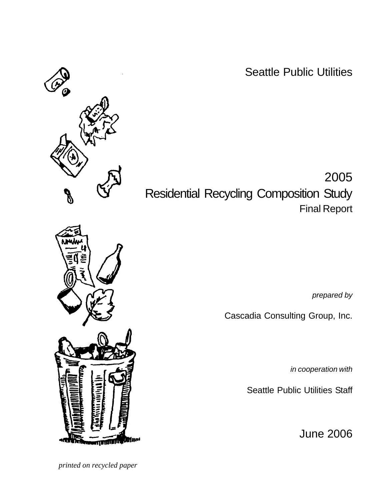Seattle Public Utilities

2005 Residential Recycling Composition Study Final Report

*prepared by*

Cascadia Consulting Group, Inc.

*in cooperation with*

Seattle Public Utilities Staff

June 2006

 *printed on recycled paper*



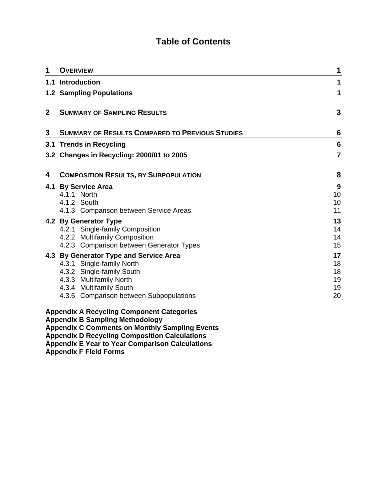# **Table of Contents**

| 1            | <b>OVERVIEW</b>                                                                                                                                                                                   | 1                                |
|--------------|---------------------------------------------------------------------------------------------------------------------------------------------------------------------------------------------------|----------------------------------|
|              | 1.1 Introduction                                                                                                                                                                                  | 1                                |
|              | <b>1.2 Sampling Populations</b>                                                                                                                                                                   | 1                                |
| $\mathbf{2}$ | <b>SUMMARY OF SAMPLING RESULTS</b>                                                                                                                                                                | 3                                |
| 3            | <b>SUMMARY OF RESULTS COMPARED TO PREVIOUS STUDIES</b>                                                                                                                                            | 6                                |
|              | 3.1 Trends in Recycling                                                                                                                                                                           | 6                                |
|              | 3.2 Changes in Recycling: 2000/01 to 2005                                                                                                                                                         | $\overline{7}$                   |
| 4            | <b>COMPOSITION RESULTS, BY SUBPOPULATION</b>                                                                                                                                                      | 8                                |
|              | 4.1 By Service Area<br>4.1.1 North<br>4.1.2 South<br>4.1.3 Comparison between Service Areas                                                                                                       | 9<br>10<br>10<br>11              |
|              | 4.2 By Generator Type<br>4.2.1 Single-family Composition<br>4.2.2 Multifamily Composition<br>4.2.3 Comparison between Generator Types                                                             | 13<br>14<br>14<br>15             |
|              | 4.3 By Generator Type and Service Area<br>4.3.1 Single-family North<br>4.3.2 Single-family South<br>4.3.3 Multifamily North<br>4.3.4 Multifamily South<br>4.3.5 Comparison between Subpopulations | 17<br>18<br>18<br>19<br>19<br>20 |
|              | <b>Appendix A Recycling Component Categories</b><br><b>Appendix B Sampling Methodology</b>                                                                                                        |                                  |

**Appendix C Comments on Monthly Sampling Events** 

**Appendix D Recycling Composition Calculations** 

**Appendix E Year to Year Comparison Calculations** 

**Appendix F Field Forms**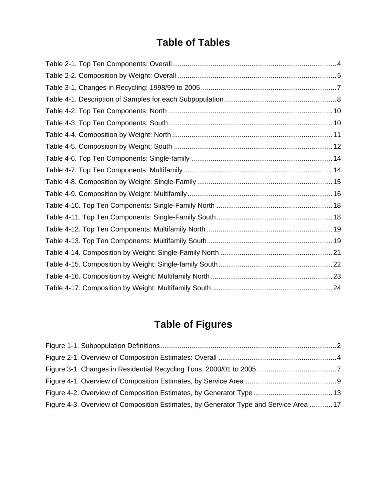# **Table of Tables**

# **Table of Figures**

| Figure 4-3. Overview of Composition Estimates, by Generator Type and Service Area  17 |  |
|---------------------------------------------------------------------------------------|--|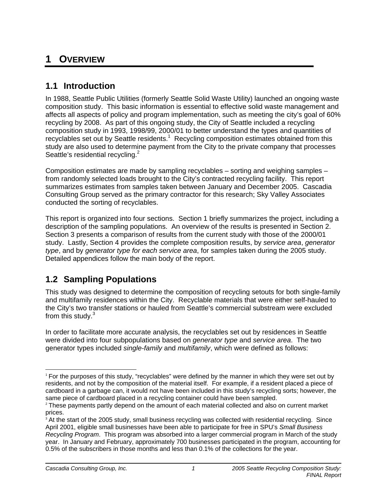# **1 OVERVIEW**

# **1.1 Introduction**

In 1988, Seattle Public Utilities (formerly Seattle Solid Waste Utility) launched an ongoing waste composition study. This basic information is essential to effective solid waste management and affects all aspects of policy and program implementation, such as meeting the city's goal of 60% recycling by 2008. As part of this ongoing study, the City of Seattle included a recycling composition study in 1993, 1998/99, 2000/01 to better understand the types and quantities of recyclables set out by Seattle residents.<sup>1</sup> Recycling composition estimates obtained from this study are also used to determine payment from the City to the private company that processes Seattle's residential recycling.<sup>2</sup>

Composition estimates are made by sampling recyclables – sorting and weighing samples – from randomly selected loads brought to the City's contracted recycling facility. This report summarizes estimates from samples taken between January and December 2005. Cascadia Consulting Group served as the primary contractor for this research; Sky Valley Associates conducted the sorting of recyclables.

This report is organized into four sections. Section 1 briefly summarizes the project, including a description of the sampling populations. An overview of the results is presented in Section 2. Section 3 presents a comparison of results from the current study with those of the 2000/01 study. Lastly, Section 4 provides the complete composition results, by *service area*, *generator type*, and by *generator type for each service area*, for samples taken during the 2005 study. Detailed appendices follow the main body of the report.

# **1.2 Sampling Populations**

This study was designed to determine the composition of recycling setouts for both single-family and multifamily residences within the City. Recyclable materials that were either self-hauled to the City's two transfer stations or hauled from Seattle's commercial substream were excluded from this study.<sup>3</sup>

In order to facilitate more accurate analysis, the recyclables set out by residences in Seattle were divided into four subpopulations based on *generator type* and *service area*. The two generator types included *single-family* and *multifamily*, which were defined as follows:

 <sup>1</sup> For the purposes of this study, "recyclables" were defined by the manner in which they were set out by residents, and not by the composition of the material itself. For example, if a resident placed a piece of cardboard in a garbage can, it would not have been included in this study's recycling sorts; however, the same piece of cardboard placed in a recycling container could have been sampled.

<sup>&</sup>lt;sup>2</sup> These payments partly depend on the amount of each material collected and also on current market prices.

<sup>&</sup>lt;sup>3</sup> At the start of the 2005 study, small business recycling was collected with residential recycling. Since April 2001, eligible small businesses have been able to participate for free in SPU's *Small Business Recycling Program*. This program was absorbed into a larger commercial program in March of the study year. In January and February, approximately 700 businesses participated in the program, accounting for 0.5% of the subscribers in those months and less than 0.1% of the collections for the year.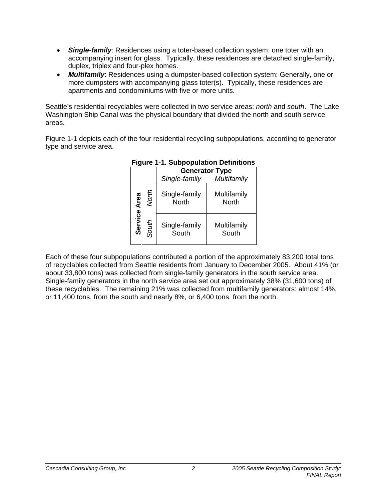- *Single-family*: Residences using a toter-based collection system: one toter with an accompanying insert for glass. Typically, these residences are detached single-family, duplex, triplex and four-plex homes.
- *Multifamily*: Residences using a dumpster-based collection system: Generally, one or more dumpsters with accompanying glass toter(s). Typically, these residences are apartments and condominiums with five or more units.

Seattle's residential recyclables were collected in two service areas: *north* and *south*. The Lake Washington Ship Canal was the physical boundary that divided the north and south service areas.

Figure 1-1 depicts each of the four residential recycling subpopulations, according to generator type and service area.

|         | i iyult i-i. Yuddodululu Definitiynə |                               |                       |  |  |  |
|---------|--------------------------------------|-------------------------------|-----------------------|--|--|--|
|         |                                      |                               | <b>Generator Type</b> |  |  |  |
|         |                                      | Single-family                 | Multifamily           |  |  |  |
| Area    | North                                | Single-family<br><b>North</b> | Multifamily<br>North  |  |  |  |
| Service | South                                | Single-family<br>South        | Multifamily<br>South  |  |  |  |

## **Figure 1-1. Subpopulation Definitions**

Each of these four subpopulations contributed a portion of the approximately 83,200 total tons of recyclables collected from Seattle residents from January to December 2005. About 41% (or about 33,800 tons) was collected from single-family generators in the south service area. Single-family generators in the north service area set out approximately 38% (31,600 tons) of these recyclables. The remaining 21% was collected from multifamily generators: almost 14%, or 11,400 tons, from the south and nearly 8%, or 6,400 tons, from the north.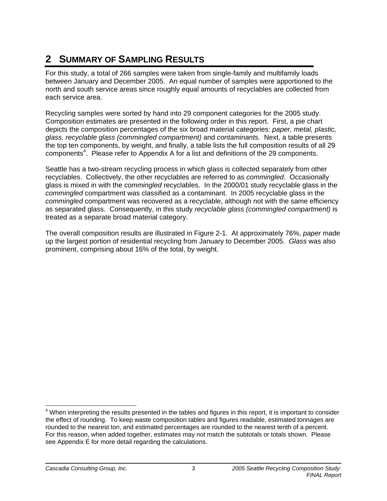# **2 SUMMARY OF SAMPLING RESULTS**

For this study, a total of 266 samples were taken from single-family and multifamily loads between January and December 2005. An equal number of samples were apportioned to the north and south service areas since roughly equal amounts of recyclables are collected from each service area.

Recycling samples were sorted by hand into 29 component categories for the 2005 study. Composition estimates are presented in the following order in this report. First, a pie chart depicts the composition percentages of the six broad material categories: *paper, metal, plastic, glass, recyclable glass (commingled compartment)* and *contaminants.* Next, a table presents the top ten components, by weight, and finally, a table lists the full composition results of all 29 components<sup>4</sup>. Please refer to Appendix A for a list and definitions of the 29 components.

Seattle has a two-stream recycling process in which glass is collected separately from other recyclables. Collectively, the other recyclables are referred to as *commingled*. Occasionally glass is mixed in with the *commingled* recyclables. In the 2000/01 study recyclable glass in the *commingled* compartment was classified as a contaminant. In 2005 recyclable glass in the *commingled* compartment was recovered as a recyclable, although not with the same efficiency as separated glass. Consequently, in this study *recyclable glass (commingled compartment)* is treated as a separate broad material category.

The overall composition results are illustrated in Figure 2-1. At approximately 76%, *paper* made up the largest portion of residential recycling from January to December 2005. *Glass* was also prominent, comprising about 16% of the total, by weight.

 $\overline{a}$ <sup>4</sup> When interpreting the results presented in the tables and figures in this report, it is important to consider the effect of rounding. To keep waste composition tables and figures readable, estimated tonnages are rounded to the nearest ton, and estimated percentages are rounded to the nearest tenth of a percent. For this reason, when added together, estimates may not match the subtotals or totals shown. Please see Appendix E for more detail regarding the calculations.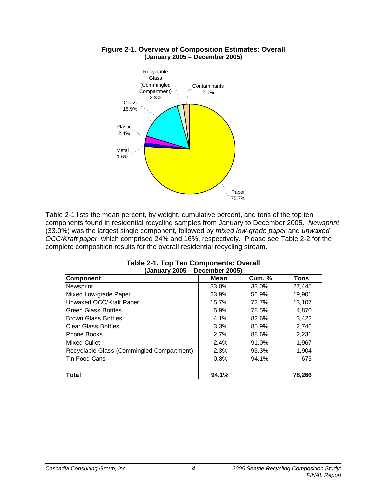

#### **Figure 2-1. Overview of Composition Estimates: Overall (January 2005 – December 2005)**

Table 2-1 lists the mean percent, by weight, cumulative percent, and tons of the top ten components found in residential recycling samples from January to December 2005. *Newsprint*  (33.0%) was the largest single component, followed by *mixed low-grade paper* and *unwaxed OCC/Kraft paper*, which comprised 24% and 16%, respectively. Please see Table 2-2 for the complete composition results for the overall residential recycling stream.

| (January 2005 – December 2005)            |       |        |             |  |  |  |
|-------------------------------------------|-------|--------|-------------|--|--|--|
| <b>Component</b>                          | Mean  | Cum. % | <b>Tons</b> |  |  |  |
| Newsprint                                 | 33.0% | 33.0%  | 27,445      |  |  |  |
| Mixed Low-grade Paper                     | 23.9% | 56.9%  | 19.901      |  |  |  |
| Unwaxed OCC/Kraft Paper                   | 15.7% | 72.7%  | 13,107      |  |  |  |
| <b>Green Glass Bottles</b>                | 5.9%  | 78.5%  | 4,870       |  |  |  |
| <b>Brown Glass Bottles</b>                | 4.1%  | 82.6%  | 3,422       |  |  |  |
| <b>Clear Glass Bottles</b>                | 3.3%  | 85.9%  | 2,746       |  |  |  |
| <b>Phone Books</b>                        | 2.7%  | 88.6%  | 2,231       |  |  |  |
| Mixed Cullet                              | 2.4%  | 91.0%  | 1,967       |  |  |  |
| Recyclable Glass (Commingled Compartment) | 2.3%  | 93.3%  | 1,904       |  |  |  |
| Tin Food Cans                             | 0.8%  | 94.1%  | 675         |  |  |  |
| Total                                     | 94.1% |        | 78,266      |  |  |  |

| Table 2-1. Top Ten Components: Overall |                                |  |
|----------------------------------------|--------------------------------|--|
|                                        | (January 2005 – December 2005) |  |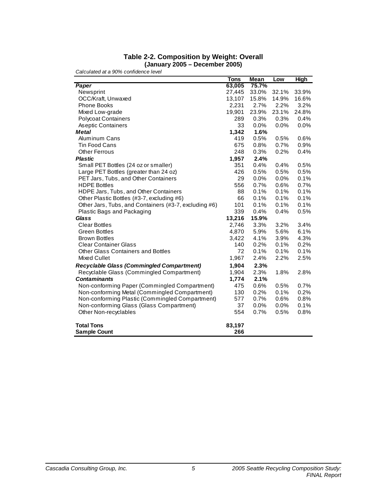#### **Table 2-2. Composition by Weight: Overall (January 2005 – December 2005)**

|                                                       | <b>Tons</b> | <b>Mean</b> | Low   | <b>High</b> |
|-------------------------------------------------------|-------------|-------------|-------|-------------|
| Paper                                                 | 63,005      | 75.7%       |       |             |
| Newsprint                                             | 27,445      | 33.0%       | 32.1% | 33.9%       |
| OCC/Kraft, Unwaxed                                    | 13,107      | 15.8%       | 14.9% | 16.6%       |
| <b>Phone Books</b>                                    | 2,231       | 2.7%        | 2.2%  | 3.2%        |
| Mixed Low-grade                                       | 19,901      | 23.9%       | 23.1% | 24.8%       |
| <b>Polycoat Containers</b>                            | 289         | 0.3%        | 0.3%  | 0.4%        |
| As eptic Containers                                   | 33          | 0.0%        | 0.0%  | 0.0%        |
| <b>Metal</b>                                          | 1,342       | 1.6%        |       |             |
| <b>Aluminum Cans</b>                                  | 419         | 0.5%        | 0.5%  | 0.6%        |
| <b>Tin Food Cans</b>                                  | 675         | 0.8%        | 0.7%  | 0.9%        |
| <b>Other Ferrous</b>                                  | 248         | 0.3%        | 0.2%  | 0.4%        |
| <b>Plastic</b>                                        | 1,957       | 2.4%        |       |             |
| Small PET Bottles (24 oz or smaller)                  | 351         | 0.4%        | 0.4%  | 0.5%        |
| Large PET Bottles (greater than 24 oz)                | 426         | 0.5%        | 0.5%  | 0.5%        |
| PET Jars, Tubs, and Other Containers                  | 29          | $0.0\%$     | 0.0%  | 0.1%        |
| <b>HDPE Bottles</b>                                   | 556         | 0.7%        | 0.6%  | 0.7%        |
| HDPE Jars, Tubs, and Other Containers                 | 88          | 0.1%        | 0.1%  | 0.1%        |
| Other Plastic Bottles (#3-7, excluding #6)            | 66          | 0.1%        | 0.1%  | 0.1%        |
| Other Jars, Tubs, and Containers (#3-7, excluding #6) | 101         | 0.1%        | 0.1%  | 0.1%        |
| Plastic Bags and Packaging                            | 339         | 0.4%        | 0.4%  | 0.5%        |
| Glass                                                 | 13,216      | 15.9%       |       |             |
| <b>Clear Bottles</b>                                  | 2,746       | 3.3%        | 3.2%  | 3.4%        |
| <b>Green Bottles</b>                                  | 4,870       | 5.9%        | 5.6%  | 6.1%        |
| <b>Brown Bottles</b>                                  | 3,422       | 4.1%        | 3.9%  | 4.3%        |
| <b>Clear Container Glass</b>                          | 140         | 0.2%        | 0.1%  | 0.2%        |
| Other Glass Containers and Bottles                    | 72          | 0.1%        | 0.1%  | 0.1%        |
| Mixed Cullet                                          | 1,967       | 2.4%        | 2.2%  | 2.5%        |
| <b>Recyclable Glass (Commingled Compartment)</b>      | 1,904       | 2.3%        |       |             |
| Recyclable Glass (Commingled Compartment)             | 1,904       | 2.3%        | 1.8%  | 2.8%        |
| <b>Contaminants</b>                                   | 1,774       | 2.1%        |       |             |
| Non-conforming Paper (Commingled Compartment)         | 475         | 0.6%        | 0.5%  | 0.7%        |
| Non-conforming Metal (Commingled Compartment)         | 130         | 0.2%        | 0.1%  | 0.2%        |
| Non-conforming Plastic (Commingled Compartment)       | 577         | 0.7%        | 0.6%  | 0.8%        |
| Non-conforming Glass (Glass Compartment)              | 37          | 0.0%        | 0.0%  | 0.1%        |
| Other Non-recyclables                                 | 554         | 0.7%        | 0.5%  | 0.8%        |
| <b>Total Tons</b>                                     | 83,197      |             |       |             |
| <b>Sample Count</b>                                   | 266         |             |       |             |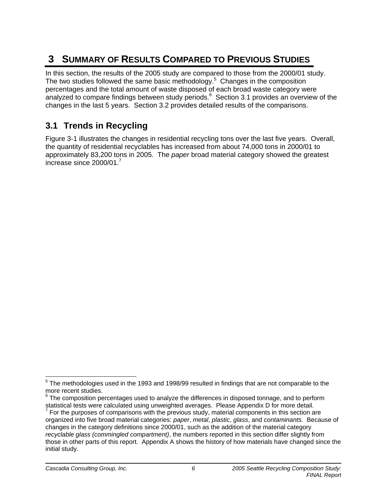# **3 SUMMARY OF RESULTS COMPARED TO PREVIOUS STUDIES**

In this section, the results of the 2005 study are compared to those from the 2000/01 study. The two studies followed the same basic methodology.<sup>5</sup> Changes in the composition percentages and the total amount of waste disposed of each broad waste category were analyzed to compare findings between study periods. $6$  Section 3.1 provides an overview of the changes in the last 5 years. Section 3.2 provides detailed results of the comparisons.

# **3.1 Trends in Recycling**

Figure 3-1 illustrates the changes in residential recycling tons over the last five years. Overall, the quantity of residential recyclables has increased from about 74,000 tons in 2000/01 to approximately 83,200 tons in 2005. The *paper* broad material category showed the greatest increase since  $2000/01$ .<sup>7</sup>

 5 The methodologies used in the 1993 and 1998/99 resulted in findings that are not comparable to the more recent studies.

 $^6$  The composition percentages used to analyze the differences in disposed tonnage, and to perform

statistical tests were calculated using unweighted averages. Please Appendix D for more detail.<br><sup>7</sup> For the purposes of comparisons with the previous study, material components in this section are organized into five broad material categories: *paper*, *metal*, *plastic*, *glass*, and *contaminants*. Because of changes in the category definitions since 2000/01, such as the addition of the material category *recyclable glass (commingled compartment)*, the numbers reported in this section differ slightly from those in other parts of this report. Appendix A shows the history of how materials have changed since the initial study.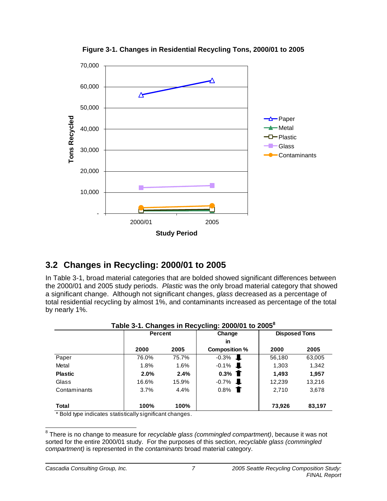

**Figure 3-1. Changes in Residential Recycling Tons, 2000/01 to 2005** 

# **3.2 Changes in Recycling: 2000/01 to 2005**

In Table 3-1, broad material categories that are bolded showed significant differences between the 2000/01 and 2005 study periods. *Plastic* was the only broad material category that showed a significant change. Although not significant changes, *glass* decreased as a percentage of total residential recycling by almost 1%, and contaminants increased as percentage of the total by nearly 1%.

|                | <b>Percent</b> |       | Change                 | <b>Disposed Tons</b> |        |
|----------------|----------------|-------|------------------------|----------------------|--------|
|                |                |       | in                     |                      |        |
|                | 2000           | 2005  | Composition %          | 2000                 | 2005   |
| Paper          | 76.0%          | 75.7% | $-0.3%$                | 56,180               | 63,005 |
| Metal          | 1.8%           | 1.6%  | $-0.1%$<br>J.          | 1,303                | 1,342  |
| <b>Plastic</b> | 2.0%           | 2.4%  | $0.3\%$ T              | 1,493                | 1,957  |
| Glass          | 16.6%          | 15.9% | $-0.7\%$ <b>L</b>      | 12,239               | 13,216 |
| Contaminants   | 3.7%           | 4.4%  | 0.8%<br>$\blacksquare$ | 2.710                | 3,678  |
| <b>Total</b>   | 100%           | 100%  |                        | 73.926               | 83,197 |

| Table 3-1. Changes in Recycling: 2000/01 to 2005 $^{\rm 8}$ |  |  |  |
|-------------------------------------------------------------|--|--|--|
|-------------------------------------------------------------|--|--|--|

Bold type indicates statistically significant changes.

 8 There is no change to measure for *recyclable glass (commingled compartment)*, because it was not sorted for the entire 2000/01 study. For the purposes of this section, *recyclable glass (commingled compartment)* is represented in the *contaminants* broad material category.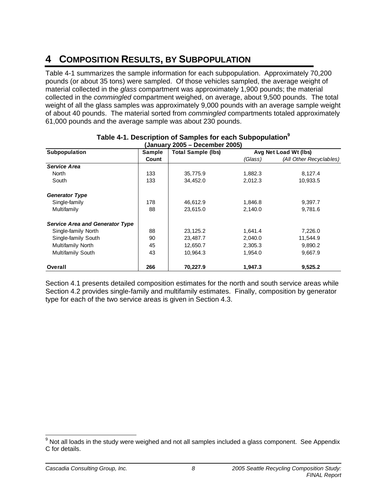# **4 COMPOSITION RESULTS, BY SUBPOPULATION**

Table 4-1 summarizes the sample information for each subpopulation. Approximately 70,200 pounds (or about 35 tons) were sampled. Of those vehicles sampled, the average weight of material collected in the *glass* compartment was approximately 1,900 pounds; the material collected in the *commingled* compartment weighed, on average, about 9,500 pounds. The total weight of all the glass samples was approximately 9,000 pounds with an average sample weight of about 40 pounds. The material sorted from *commingled* compartments totaled approximately 61,000 pounds and the average sample was about 230 pounds.

| (Januarv 2005 – December 2005)         |        |                           |         |                         |  |  |
|----------------------------------------|--------|---------------------------|---------|-------------------------|--|--|
| Subpopulation                          | Sample | <b>Total Sample (lbs)</b> |         | Avg Net Load Wt (lbs)   |  |  |
|                                        | Count  |                           | (Glass) | (All Other Recyclables) |  |  |
| <b>Service Area</b>                    |        |                           |         |                         |  |  |
| North                                  | 133    | 35,775.9                  | 1,882.3 | 8,127.4                 |  |  |
| South                                  | 133    | 34,452.0                  | 2,012.3 | 10,933.5                |  |  |
| <b>Generator Type</b>                  |        |                           |         |                         |  |  |
| Single-family                          | 178    | 46,612.9                  | 1,846.8 | 9,397.7                 |  |  |
| Multifamily                            | 88     | 23.615.0                  | 2,140.0 | 9.781.6                 |  |  |
| <b>Service Area and Generator Type</b> |        |                           |         |                         |  |  |
| Single-family North                    | 88     | 23,125.2                  | 1,641.4 | 7,226.0                 |  |  |
| Single-family South                    | 90     | 23,487.7                  | 2,040.0 | 11,544.9                |  |  |
| Multifamily North                      | 45     | 12,650.7                  | 2,305.3 | 9,890.2                 |  |  |
| Multifamily South                      | 43     | 10,964.3                  | 1,954.0 | 9,667.9                 |  |  |
| Overall                                | 266    | 70,227.9                  | 1,947.3 | 9,525.2                 |  |  |

# **Table 4-1. Description of Samples for each Subpopulation9**

Section 4.1 presents detailed composition estimates for the north and south service areas while Section 4.2 provides single-family and multifamily estimates. Finally, composition by generator type for each of the two service areas is given in Section 4.3.

 $9$  Not all loads in the study were weighed and not all samples included a glass component. See Appendix C for details.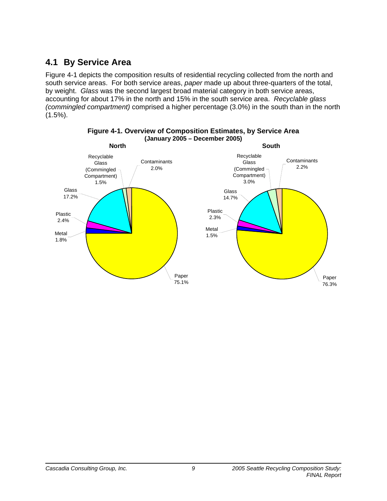# **4.1 By Service Area**

Figure 4-1 depicts the composition results of residential recycling collected from the north and south service areas. For both service areas, *paper* made up about three-quarters of the total, by weight. *Glass* was the second largest broad material category in both service areas, accounting for about 17% in the north and 15% in the south service area. *Recyclable glass (commingled compartment)* comprised a higher percentage (3.0%) in the south than in the north  $(1.5\%)$ .



**Figure 4-1. Overview of Composition Estimates, by Service Area (January 2005 – December 2005)**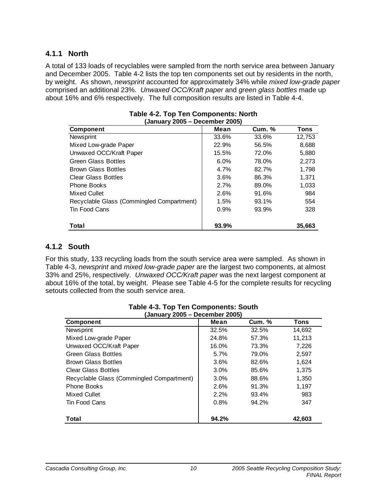## **4.1.1 North**

A total of 133 loads of recyclables were sampled from the north service area between January and December 2005. Table 4-2 lists the top ten components set out by residents in the north, by weight. As shown, *newsprint* accounted for approximately 34% while *mixed low-grade paper* comprised an additional 23%. *Unwaxed OCC/Kraft paper* and *green glass bottles* made up about 16% and 6% respectively. The full composition results are listed in Table 4-4.

| (January 2005 – December 2005)            |       |               |             |  |  |  |
|-------------------------------------------|-------|---------------|-------------|--|--|--|
| <b>Component</b>                          | Mean  | <b>Cum. %</b> | <b>Tons</b> |  |  |  |
| Newsprint                                 | 33.6% | 33.6%         | 12,753      |  |  |  |
| Mixed Low-grade Paper                     | 22.9% | 56.5%         | 8,688       |  |  |  |
| Unwaxed OCC/Kraft Paper                   | 15.5% | 72.0%         | 5,880       |  |  |  |
| <b>Green Glass Bottles</b>                | 6.0%  | 78.0%         | 2,273       |  |  |  |
| <b>Brown Glass Bottles</b>                | 4.7%  | 82.7%         | 1,798       |  |  |  |
| <b>Clear Glass Bottles</b>                | 3.6%  | 86.3%         | 1.371       |  |  |  |
| <b>Phone Books</b>                        | 2.7%  | 89.0%         | 1,033       |  |  |  |
| Mixed Cullet                              | 2.6%  | 91.6%         | 984         |  |  |  |
| Recyclable Glass (Commingled Compartment) | 1.5%  | 93.1%         | 554         |  |  |  |
| Tin Food Cans                             | 0.9%  | 93.9%         | 328         |  |  |  |
| Total                                     | 93.9% |               | 35,663      |  |  |  |

| Table 4-2. Top Ten Components: North |  |
|--------------------------------------|--|
| (January 2005 – December 2005)       |  |

### **4.1.2 South**

For this study, 133 recycling loads from the south service area were sampled. As shown in Table 4-3, *newsprint* and *mixed low-grade paper* are the largest two components, at almost 33% and 25%, respectively. *Unwaxed OCC/Kraft paper* was the next largest component at about 16% of the total, by weight. Please see Table 4-5 for the complete results for recycling setouts collected from the south service area.

| (January 2005 – December 2005)            |       |               |        |  |  |  |
|-------------------------------------------|-------|---------------|--------|--|--|--|
| <b>Component</b>                          | Mean  | <b>Cum. %</b> | Tons   |  |  |  |
| Newsprint                                 | 32.5% | 32.5%         | 14,692 |  |  |  |
| Mixed Low-grade Paper                     | 24.8% | 57.3%         | 11,213 |  |  |  |
| Unwaxed OCC/Kraft Paper                   | 16.0% | 73.3%         | 7,226  |  |  |  |
| <b>Green Glass Bottles</b>                | 5.7%  | 79.0%         | 2,597  |  |  |  |
| <b>Brown Glass Bottles</b>                | 3.6%  | 82.6%         | 1,624  |  |  |  |
| <b>Clear Glass Bottles</b>                | 3.0%  | 85.6%         | 1,375  |  |  |  |
| Recyclable Glass (Commingled Compartment) | 3.0%  | 88.6%         | 1,350  |  |  |  |
| <b>Phone Books</b>                        | 2.6%  | 91.3%         | 1.197  |  |  |  |
| Mixed Cullet                              | 2.2%  | 93.4%         | 983    |  |  |  |
| Tin Food Cans                             | 0.8%  | 94.2%         | 347    |  |  |  |
| Total                                     | 94.2% |               | 42,603 |  |  |  |

# **Table 4-3. Top Ten Components: South**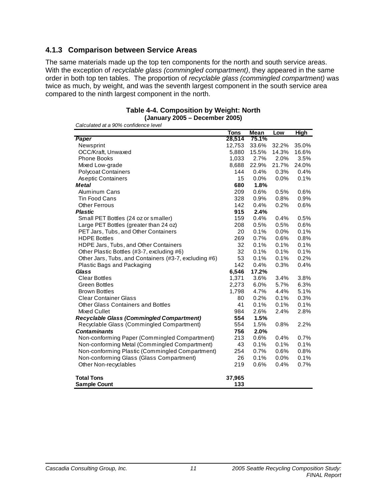## **4.1.3 Comparison between Service Areas**

The same materials made up the top ten components for the north and south service areas. With the exception of *recyclable glass (commingled compartment)*, they appeared in the same order in both top ten tables. The proportion of *recyclable glass (commingled compartment)* was twice as much, by weight, and was the seventh largest component in the south service area compared to the ninth largest component in the north.

| <b>Table 4-4. Composition by Weight: North</b> |
|------------------------------------------------|
| (January 2005 – December 2005)                 |

|                                                       | <b>Tons</b>   | Mean    | Low   | <b>High</b> |
|-------------------------------------------------------|---------------|---------|-------|-------------|
| Paper                                                 | 28,514        | 75.1%   |       |             |
| Newsprint                                             | 12,753        | 33.6%   | 32.2% | 35.0%       |
| OCC/Kraft, Unwaxed                                    | 5,880         | 15.5%   | 14.3% | 16.6%       |
| <b>Phone Books</b>                                    | 1,033         | 2.7%    | 2.0%  | 3.5%        |
| Mixed Low-grade                                       | 8,688         | 22.9%   | 21.7% | 24.0%       |
| <b>Polycoat Containers</b>                            | 144           | 0.4%    | 0.3%  | 0.4%        |
| <b>Aseptic Containers</b>                             | 15            | $0.0\%$ | 0.0%  | 0.1%        |
| <b>Metal</b>                                          | 680           | 1.8%    |       |             |
| <b>Aluminum Cans</b>                                  | 209           | 0.6%    | 0.5%  | 0.6%        |
| <b>Tin Food Cans</b>                                  | 328           | 0.9%    | 0.8%  | 0.9%        |
| <b>Other Ferrous</b>                                  | 142           | 0.4%    | 0.2%  | 0.6%        |
| <b>Plastic</b>                                        | 915           | 2.4%    |       |             |
| Small PET Bottles (24 oz or smaller)                  | 159           | 0.4%    | 0.4%  | 0.5%        |
| Large PET Bottles (greater than 24 oz)                | 208           | 0.5%    | 0.5%  | 0.6%        |
| PET Jars, Tubs, and Other Containers                  | 20            | 0.1%    | 0.0%  | 0.1%        |
| <b>HDPE Bottles</b>                                   | 269           | 0.7%    | 0.6%  | 0.8%        |
| HDPE Jars, Tubs, and Other Containers                 | 32            | 0.1%    | 0.1%  | 0.1%        |
| Other Plastic Bottles (#3-7, excluding #6)            | 32            | 0.1%    | 0.1%  | 0.1%        |
| Other Jars, Tubs, and Containers (#3-7, excluding #6) | 53            | 0.1%    | 0.1%  | 0.2%        |
| Plastic Bags and Packaging                            | 142           | 0.4%    | 0.3%  | 0.4%        |
| Glass                                                 | 6,546         | 17.2%   |       |             |
| <b>Clear Bottles</b>                                  | 1,371         | 3.6%    | 3.4%  | 3.8%        |
| <b>Green Bottles</b>                                  | 2,273         | 6.0%    | 5.7%  | 6.3%        |
| <b>Brown Bottles</b>                                  | 1,798         | 4.7%    | 4.4%  | 5.1%        |
| <b>Clear Container Glass</b>                          | 80            | 0.2%    | 0.1%  | 0.3%        |
| <b>Other Glass Containers and Bottles</b>             | 41            | 0.1%    | 0.1%  | 0.1%        |
| Mixed Cullet                                          | 984           | 2.6%    | 2.4%  | 2.8%        |
| <b>Recyclable Glass (Commingled Compartment)</b>      | 554           | 1.5%    |       |             |
| Recyclable Glass (Commingled Compartment)             | 554           | 1.5%    | 0.8%  | 2.2%        |
| <b>Contaminants</b>                                   | 756           | 2.0%    |       |             |
| Non-conforming Paper (Commingled Compartment)         | 213           | 0.6%    | 0.4%  | 0.7%        |
| Non-conforming Metal (Commingled Compartment)         | 43            | 0.1%    | 0.1%  | 0.1%        |
| Non-conforming Plastic (Commingled Compartment)       | 254           | 0.7%    | 0.6%  | 0.8%        |
| Non-conforming Glass (Glass Compartment)              | 26            | 0.1%    | 0.0%  | 0.1%        |
| Other Non-recyclables                                 | 219           | 0.6%    | 0.4%  | 0.7%        |
| <b>Total Tons</b><br><b>Sample Count</b>              | 37,965<br>133 |         |       |             |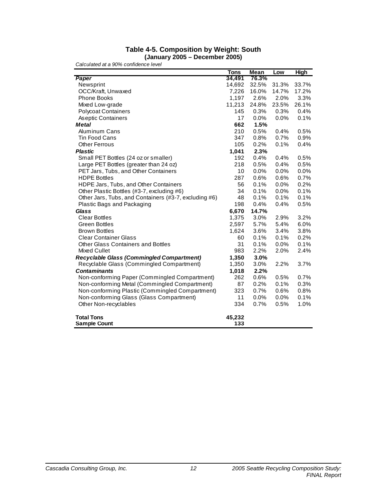#### **Table 4-5. Composition by Weight: South (January 2005 – December 2005)**

|                                                       | <b>Tons</b> | Mean  | Low   | <b>High</b> |
|-------------------------------------------------------|-------------|-------|-------|-------------|
| Paper                                                 | 34,491      | 76.3% |       |             |
| Newsprint                                             | 14,692      | 32.5% | 31.3% | 33.7%       |
| OCC/Kraft, Unwaxed                                    | 7,226       | 16.0% | 14.7% | 17.2%       |
| <b>Phone Books</b>                                    | 1,197       | 2.6%  | 2.0%  | 3.3%        |
| Mixed Low-grade                                       | 11,213      | 24.8% | 23.5% | 26.1%       |
| <b>Polycoat Containers</b>                            | 145         | 0.3%  | 0.3%  | 0.4%        |
| As eptic Containers                                   | 17          | 0.0%  | 0.0%  | 0.1%        |
| <b>Metal</b>                                          | 662         | 1.5%  |       |             |
| <b>Aluminum Cans</b>                                  | 210         | 0.5%  | 0.4%  | 0.5%        |
| <b>Tin Food Cans</b>                                  | 347         | 0.8%  | 0.7%  | 0.9%        |
| <b>Other Ferrous</b>                                  | 105         | 0.2%  | 0.1%  | 0.4%        |
| <b>Plastic</b>                                        | 1,041       | 2.3%  |       |             |
| Small PET Bottles (24 oz or smaller)                  | 192         | 0.4%  | 0.4%  | 0.5%        |
| Large PET Bottles (greater than 24 oz)                | 218         | 0.5%  | 0.4%  | 0.5%        |
| PET Jars, Tubs, and Other Containers                  | 10          | 0.0%  | 0.0%  | 0.0%        |
| <b>HDPE Bottles</b>                                   | 287         | 0.6%  | 0.6%  | 0.7%        |
| HDPE Jars, Tubs, and Other Containers                 | 56          | 0.1%  | 0.0%  | 0.2%        |
| Other Plastic Bottles (#3-7, excluding #6)            | 34          | 0.1%  | 0.0%  | 0.1%        |
| Other Jars, Tubs, and Containers (#3-7, excluding #6) | 48          | 0.1%  | 0.1%  | 0.1%        |
| Plastic Bags and Packaging                            | 198         | 0.4%  | 0.4%  | 0.5%        |
| Glass                                                 | 6,670       | 14.7% |       |             |
| <b>Clear Bottles</b>                                  | 1,375       | 3.0%  | 2.9%  | 3.2%        |
| <b>Green Bottles</b>                                  | 2,597       | 5.7%  | 5.4%  | 6.0%        |
| <b>Brown Bottles</b>                                  | 1,624       | 3.6%  | 3.4%  | 3.8%        |
| <b>Clear Container Glass</b>                          | 60          | 0.1%  | 0.1%  | 0.2%        |
| <b>Other Glass Containers and Bottles</b>             | 31          | 0.1%  | 0.0%  | 0.1%        |
| Mixed Cullet                                          | 983         | 2.2%  | 2.0%  | 2.4%        |
| <b>Recyclable Glass (Commingled Compartment)</b>      | 1,350       | 3.0%  |       |             |
| Recyclable Glass (Commingled Compartment)             | 1,350       | 3.0%  | 2.2%  | 3.7%        |
| <b>Contaminants</b>                                   | 1,018       | 2.2%  |       |             |
| Non-conforming Paper (Commingled Compartment)         | 262         | 0.6%  | 0.5%  | 0.7%        |
| Non-conforming Metal (Commingled Compartment)         | 87          | 0.2%  | 0.1%  | 0.3%        |
| Non-conforming Plastic (Commingled Compartment)       | 323         | 0.7%  | 0.6%  | 0.8%        |
| Non-conforming Glass (Glass Compartment)              | 11          | 0.0%  | 0.0%  | 0.1%        |
| Other Non-recyclables                                 | 334         | 0.7%  | 0.5%  | 1.0%        |
| <b>Total Tons</b>                                     | 45,232      |       |       |             |
| <b>Sample Count</b>                                   | 133         |       |       |             |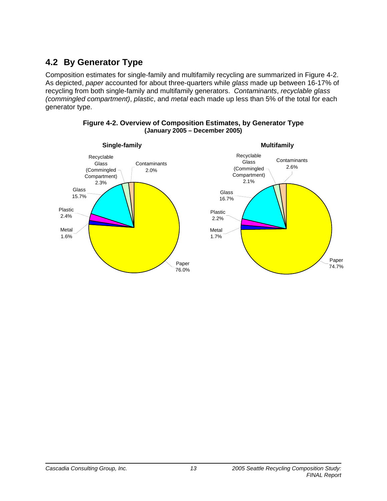# **4.2 By Generator Type**

Composition estimates for single-family and multifamily recycling are summarized in Figure 4-2. As depicted, *paper* accounted for about three-quarters while *glass* made up between 16-17% of recycling from both single-family and multifamily generators. *Contaminants*, *recyclable glass (commingled compartment)*, *plastic*, and *metal* each made up less than 5% of the total for each generator type.



#### **Figure 4-2. Overview of Composition Estimates, by Generator Type (January 2005 – December 2005)**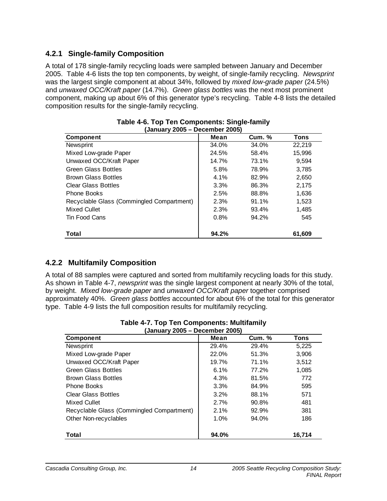## **4.2.1 Single-family Composition**

A total of 178 single-family recycling loads were sampled between January and December 2005. Table 4-6 lists the top ten components, by weight, of single-family recycling. *Newsprint* was the largest single component at about 34%, followed by *mixed low-grade paper* (24.5%) and *unwaxed OCC/Kraft paper* (14.7%). *Green glass bottles* was the next most prominent component, making up about 6% of this generator type's recycling. Table 4-8 lists the detailed composition results for the single-family recycling.

| (January 2005 – December 2005)            |       |        |        |  |  |  |  |
|-------------------------------------------|-------|--------|--------|--|--|--|--|
| <b>Component</b>                          | Mean  | Cum. % | Tons   |  |  |  |  |
| Newsprint                                 | 34.0% | 34.0%  | 22.219 |  |  |  |  |
| Mixed Low-grade Paper                     | 24.5% | 58.4%  | 15,996 |  |  |  |  |
| Unwaxed OCC/Kraft Paper                   | 14.7% | 73.1%  | 9.594  |  |  |  |  |
| <b>Green Glass Bottles</b>                | 5.8%  | 78.9%  | 3,785  |  |  |  |  |
| <b>Brown Glass Bottles</b>                | 4.1%  | 82.9%  | 2,650  |  |  |  |  |
| <b>Clear Glass Bottles</b>                | 3.3%  | 86.3%  | 2,175  |  |  |  |  |
| <b>Phone Books</b>                        | 2.5%  | 88.8%  | 1,636  |  |  |  |  |
| Recyclable Glass (Commingled Compartment) | 2.3%  | 91.1%  | 1,523  |  |  |  |  |
| Mixed Cullet                              | 2.3%  | 93.4%  | 1,485  |  |  |  |  |
| Tin Food Cans                             | 0.8%  | 94.2%  | 545    |  |  |  |  |
| Total                                     | 94.2% |        | 61.609 |  |  |  |  |

#### **Table 4-6. Top Ten Components: Single-family (January 2005 – December 2005)**

## **4.2.2 Multifamily Composition**

A total of 88 samples were captured and sorted from multifamily recycling loads for this study. As shown in Table 4-7, *newsprint* was the single largest component at nearly 30% of the total, by weight. *Mixed low-grade paper* and *unwaxed OCC/Kraft paper* together comprised approximately 40%. *Green glass bottles* accounted for about 6% of the total for this generator type. Table 4-9 lists the full composition results for multifamily recycling.

| (January 2005 – December 2005)            |       |               |        |  |  |  |
|-------------------------------------------|-------|---------------|--------|--|--|--|
| <b>Component</b>                          | Mean  | <b>Cum. %</b> | Tons   |  |  |  |
| Newsprint                                 | 29.4% | 29.4%         | 5,225  |  |  |  |
| Mixed Low-grade Paper                     | 22.0% | 51.3%         | 3,906  |  |  |  |
| Unwaxed OCC/Kraft Paper                   | 19.7% | 71.1%         | 3,512  |  |  |  |
| <b>Green Glass Bottles</b>                | 6.1%  | 77.2%         | 1,085  |  |  |  |
| <b>Brown Glass Bottles</b>                | 4.3%  | 81.5%         | 772    |  |  |  |
| <b>Phone Books</b>                        | 3.3%  | 84.9%         | 595    |  |  |  |
| <b>Clear Glass Bottles</b>                | 3.2%  | 88.1%         | 571    |  |  |  |
| Mixed Cullet                              | 2.7%  | 90.8%         | 481    |  |  |  |
| Recyclable Glass (Commingled Compartment) | 2.1%  | 92.9%         | 381    |  |  |  |
| Other Non-recyclables                     | 1.0%  | 94.0%         | 186    |  |  |  |
| Total                                     | 94.0% |               | 16,714 |  |  |  |

| Table 4-7. Top Ten Components: Multifamily |
|--------------------------------------------|
| (January 2005 – December 2005)             |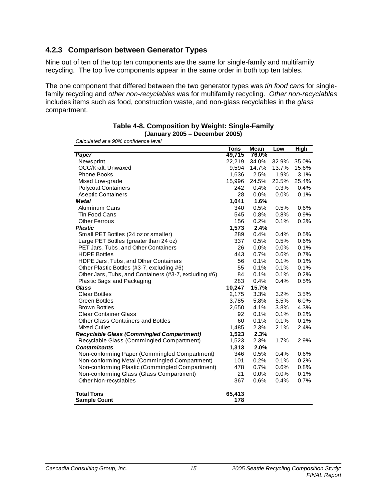## **4.2.3 Comparison between Generator Types**

Nine out of ten of the top ten components are the same for single-family and multifamily recycling. The top five components appear in the same order in both top ten tables.

The one component that differed between the two generator types was *tin food cans* for singlefamily recycling and *other non-recyclables* was for multifamily recycling. *Other non-recyclables* includes items such as food, construction waste, and non-glass recyclables in the *glass* compartment.

|                                                       | <b>Tons</b> | <b>Mean</b> | Low     | High  |
|-------------------------------------------------------|-------------|-------------|---------|-------|
| Paper                                                 | 49,715      | 76.0%       |         |       |
| Newsprint                                             | 22,219      | 34.0%       | 32.9%   | 35.0% |
| OCC/Kraft, Unwaxed                                    | 9,594       |             | 13.7%   | 15.6% |
|                                                       |             | 14.7%       |         |       |
| <b>Phone Books</b>                                    | 1,636       | 2.5%        | 1.9%    | 3.1%  |
| Mixed Low-grade                                       | 15,996      | 24.5%       | 23.5%   | 25.4% |
| <b>Polycoat Containers</b>                            | 242         | 0.4%        | 0.3%    | 0.4%  |
| <b>Aseptic Containers</b>                             | 28          | $0.0\%$     | 0.0%    | 0.1%  |
| <b>Metal</b>                                          | 1,041       | 1.6%        |         |       |
| <b>Aluminum Cans</b>                                  | 340         | 0.5%        | 0.5%    | 0.6%  |
| Tin Food Cans                                         | 545         | 0.8%        | 0.8%    | 0.9%  |
| <b>Other Ferrous</b>                                  | 156         | 0.2%        | 0.1%    | 0.3%  |
| <b>Plastic</b>                                        | 1,573       | 2.4%        |         |       |
| Small PET Bottles (24 oz or smaller)                  | 289         | 0.4%        | 0.4%    | 0.5%  |
| Large PET Bottles (greater than 24 oz)                | 337         | 0.5%        | 0.5%    | 0.6%  |
| PET Jars, Tubs, and Other Containers                  | 26          | 0.0%        | 0.0%    | 0.1%  |
| <b>HDPE Bottles</b>                                   | 443         | 0.7%        | 0.6%    | 0.7%  |
| HDPE Jars, Tubs, and Other Containers                 | 56          | 0.1%        | 0.1%    | 0.1%  |
| Other Plastic Bottles (#3-7, excluding #6)            | 55          | 0.1%        | 0.1%    | 0.1%  |
| Other Jars, Tubs, and Containers (#3-7, excluding #6) | 84          | 0.1%        | 0.1%    | 0.2%  |
| Plastic Bags and Packaging                            | 283         | 0.4%        | 0.4%    | 0.5%  |
| Glass                                                 | 10,247      | 15.7%       |         |       |
| <b>Clear Bottles</b>                                  | 2,175       | 3.3%        | 3.2%    | 3.5%  |
| <b>Green Bottles</b>                                  | 3,785       | 5.8%        | 5.5%    | 6.0%  |
| <b>Brown Bottles</b>                                  | 2,650       | 4.1%        | 3.8%    | 4.3%  |
| <b>Clear Container Glass</b>                          | 92          | 0.1%        | 0.1%    | 0.2%  |
| <b>Other Glass Containers and Bottles</b>             | 60          | 0.1%        | 0.1%    | 0.1%  |
| Mixed Cullet                                          | 1,485       | 2.3%        | 2.1%    | 2.4%  |
| <b>Recyclable Glass (Commingled Compartment)</b>      | 1,523       | 2.3%        |         |       |
| Recyclable Glass (Commingled Compartment)             | 1,523       | 2.3%        | 1.7%    | 2.9%  |
| <b>Contaminants</b>                                   | 1,313       | 2.0%        |         |       |
| Non-conforming Paper (Commingled Compartment)         | 346         | 0.5%        | 0.4%    | 0.6%  |
| Non-conforming Metal (Commingled Compartment)         | 101         | 0.2%        | 0.1%    | 0.2%  |
| Non-conforming Plastic (Commingled Compartment)       | 478         | 0.7%        | 0.6%    | 0.8%  |
|                                                       | 21          | $0.0\%$     |         | 0.1%  |
| Non-conforming Glass (Glass Compartment)              |             |             | $0.0\%$ |       |
| Other Non-recyclables                                 | 367         | 0.6%        | 0.4%    | 0.7%  |
| <b>Total Tons</b>                                     | 65,413      |             |         |       |
| <b>Sample Count</b>                                   | 178         |             |         |       |

#### **Table 4-8. Composition by Weight: Single-Family (January 2005 – December 2005)**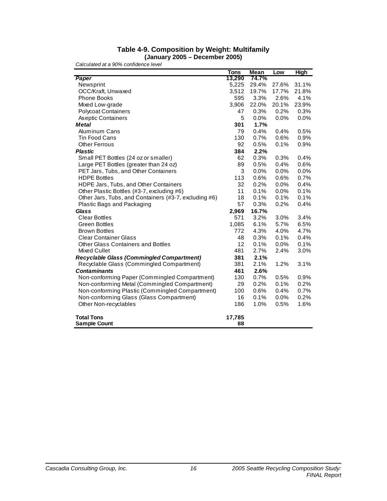#### **Table 4-9. Composition by Weight: Multifamily (January 2005 – December 2005)**

|                                                       | <b>Tons</b> | Mean    | Low   | <b>High</b> |
|-------------------------------------------------------|-------------|---------|-------|-------------|
| Paper                                                 | 13,290      | 74.7%   |       |             |
| Newsprint                                             | 5,225       | 29.4%   | 27.6% | 31.1%       |
| OCC/Kraft, Unwaxed                                    | 3,512       | 19.7%   | 17.7% | 21.8%       |
| <b>Phone Books</b>                                    | 595         | 3.3%    | 2.6%  | 4.1%        |
| Mixed Low-grade                                       | 3,906       | 22.0%   | 20.1% | 23.9%       |
| <b>Polycoat Containers</b>                            | 47          | 0.3%    | 0.2%  | 0.3%        |
| Aseptic Containers                                    | 5           | 0.0%    | 0.0%  | 0.0%        |
| <b>Metal</b>                                          | 301         | 1.7%    |       |             |
| <b>Aluminum Cans</b>                                  | 79          | 0.4%    | 0.4%  | 0.5%        |
| <b>Tin Food Cans</b>                                  | 130         | 0.7%    | 0.6%  | 0.9%        |
| <b>Other Ferrous</b>                                  | 92          | 0.5%    | 0.1%  | 0.9%        |
| <b>Plastic</b>                                        | 384         | 2.2%    |       |             |
| Small PET Bottles (24 oz or smaller)                  | 62          | 0.3%    | 0.3%  | 0.4%        |
| Large PET Bottles (greater than 24 oz)                | 89          | 0.5%    | 0.4%  | 0.6%        |
| PET Jars, Tubs, and Other Containers                  | 3           | $0.0\%$ | 0.0%  | 0.0%        |
| <b>HDPE Bottles</b>                                   | 113         | 0.6%    | 0.6%  | 0.7%        |
| HDPE Jars, Tubs, and Other Containers                 | 32          | 0.2%    | 0.0%  | 0.4%        |
| Other Plastic Bottles (#3-7, excluding #6)            | 11          | 0.1%    | 0.0%  | 0.1%        |
| Other Jars, Tubs, and Containers (#3-7, excluding #6) | 18          | 0.1%    | 0.1%  | 0.1%        |
| Plastic Bags and Packaging                            | 57          | 0.3%    | 0.2%  | 0.4%        |
| <b>Glass</b>                                          | 2,969       | 16.7%   |       |             |
| <b>Clear Bottles</b>                                  | 571         | 3.2%    | 3.0%  | 3.4%        |
| <b>Green Bottles</b>                                  | 1,085       | 6.1%    | 5.7%  | 6.5%        |
| <b>Brown Bottles</b>                                  | 772         | 4.3%    | 4.0%  | 4.7%        |
| <b>Clear Container Glass</b>                          | 48          | 0.3%    | 0.1%  | 0.4%        |
| Other Glass Containers and Bottles                    | 12          | 0.1%    | 0.0%  | 0.1%        |
| Mixed Cullet                                          | 481         | 2.7%    | 2.4%  | 3.0%        |
| <b>Recyclable Glass (Commingled Compartment)</b>      | 381         | 2.1%    |       |             |
| Recyclable Glass (Commingled Compartment)             | 381         | 2.1%    | 1.2%  | 3.1%        |
| <b>Contaminants</b>                                   | 461         | 2.6%    |       |             |
| Non-conforming Paper (Commingled Compartment)         | 130         | 0.7%    | 0.5%  | 0.9%        |
| Non-conforming Metal (Commingled Compartment)         | 29          | 0.2%    | 0.1%  | 0.2%        |
| Non-conforming Plastic (Commingled Compartment)       | 100         | 0.6%    | 0.4%  | 0.7%        |
| Non-conforming Glass (Glass Compartment)              | 16          | 0.1%    | 0.0%  | 0.2%        |
| Other Non-recyclables                                 | 186         | 1.0%    | 0.5%  | 1.6%        |
|                                                       |             |         |       |             |
| <b>Total Tons</b>                                     | 17,785      |         |       |             |
| <b>Sample Count</b>                                   | 88          |         |       |             |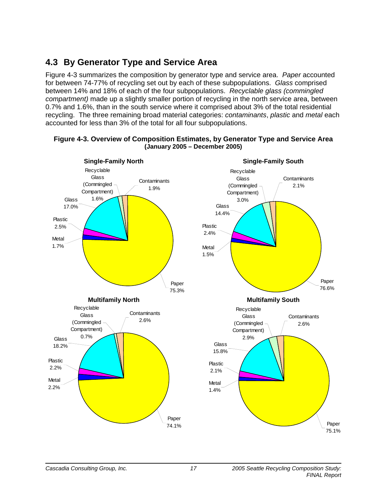# **4.3 By Generator Type and Service Area**

Figure 4-3 summarizes the composition by generator type and service area. *Paper* accounted for between 74-77% of recycling set out by each of these subpopulations. *Glass* comprised between 14% and 18% of each of the four subpopulations. *Recyclable glass (commingled compartment)* made up a slightly smaller portion of recycling in the north service area, between 0.7% and 1.6%, than in the south service where it comprised about 3% of the total residential recycling. The three remaining broad material categories: *contaminants*, *plastic* and *metal* each accounted for less than 3% of the total for all four subpopulations.



#### **Figure 4-3. Overview of Composition Estimates, by Generator Type and Service Area (January 2005 – December 2005)**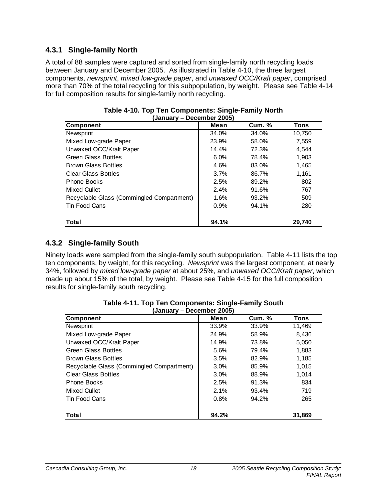### **4.3.1 Single-family North**

A total of 88 samples were captured and sorted from single-family north recycling loads between January and December 2005. As illustrated in Table 4-10, the three largest components, *newsprint*, *mixed low-grade paper*, and *unwaxed OCC/Kraft paper*, comprised more than 70% of the total recycling for this subpopulation, by weight. Please see Table 4-14 for full composition results for single-family north recycling.

| January – Deceniber Zugor<br><b>Component</b> | Mean  | Cum. % | <b>Tons</b> |
|-----------------------------------------------|-------|--------|-------------|
| Newsprint                                     | 34.0% | 34.0%  | 10,750      |
| Mixed Low-grade Paper                         | 23.9% | 58.0%  | 7,559       |
| Unwaxed OCC/Kraft Paper                       | 14.4% | 72.3%  | 4,544       |
| <b>Green Glass Bottles</b>                    | 6.0%  | 78.4%  | 1,903       |
| <b>Brown Glass Bottles</b>                    | 4.6%  | 83.0%  | 1,465       |
| <b>Clear Glass Bottles</b>                    | 3.7%  | 86.7%  | 1.161       |
| <b>Phone Books</b>                            | 2.5%  | 89.2%  | 802         |
| Mixed Cullet                                  | 2.4%  | 91.6%  | 767         |
| Recyclable Glass (Commingled Compartment)     | 1.6%  | 93.2%  | 509         |
| Tin Food Cans                                 | 0.9%  | 94.1%  | 280         |
| <b>Total</b>                                  | 94.1% |        | 29.740      |

| Table 4-10. Top Ten Components: Single-Family North |                           |  |  |
|-----------------------------------------------------|---------------------------|--|--|
|                                                     | (January – December 2005) |  |  |

### **4.3.2 Single-family South**

Ninety loads were sampled from the single-family south subpopulation. Table 4-11 lists the top ten components, by weight, for this recycling. *Newsprint* was the largest component, at nearly 34%, followed by *mixed low-grade paper* at about 25%, and *unwaxed OCC/Kraft paper*, which made up about 15% of the total, by weight. Please see Table 4-15 for the full composition results for single-family south recycling.

| January – Deceniusi 2000)                 |       |        |             |  |  |  |  |
|-------------------------------------------|-------|--------|-------------|--|--|--|--|
| <b>Component</b>                          | Mean  | Cum. % | <b>Tons</b> |  |  |  |  |
| Newsprint                                 | 33.9% | 33.9%  | 11,469      |  |  |  |  |
| Mixed Low-grade Paper                     | 24.9% | 58.9%  | 8,436       |  |  |  |  |
| Unwaxed OCC/Kraft Paper                   | 14.9% | 73.8%  | 5,050       |  |  |  |  |
| <b>Green Glass Bottles</b>                | 5.6%  | 79.4%  | 1,883       |  |  |  |  |
| <b>Brown Glass Bottles</b>                | 3.5%  | 82.9%  | 1,185       |  |  |  |  |
| Recyclable Glass (Commingled Compartment) | 3.0%  | 85.9%  | 1,015       |  |  |  |  |
| <b>Clear Glass Bottles</b>                | 3.0%  | 88.9%  | 1,014       |  |  |  |  |
| <b>Phone Books</b>                        | 2.5%  | 91.3%  | 834         |  |  |  |  |
| Mixed Cullet                              | 2.1%  | 93.4%  | 719         |  |  |  |  |
| Tin Food Cans                             | 0.8%  | 94.2%  | 265         |  |  |  |  |
| Total                                     | 94.2% |        | 31,869      |  |  |  |  |

|                           | Table 4-11. Top Ten Components: Single-Family South |
|---------------------------|-----------------------------------------------------|
| (January – December 2005) |                                                     |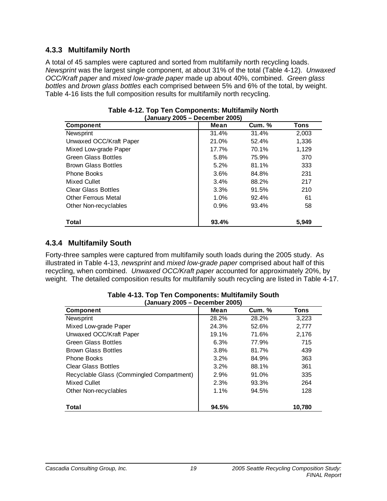## **4.3.3 Multifamily North**

A total of 45 samples were captured and sorted from multifamily north recycling loads. *Newsprint* was the largest single component, at about 31% of the total (Table 4-12). *Unwaxed OCC/Kraft paper* and *mixed low-grade paper* made up about 40%, combined. *Green glass bottles* and *brown glass bottles* each comprised between 5% and 6% of the total, by weight. Table 4-16 lists the full composition results for multifamily north recycling.

| <b>Component</b>           | January 2009 – Decenner 2009)<br>Cum. %<br>Mean<br>Tons |       |       |  |  |  |
|----------------------------|---------------------------------------------------------|-------|-------|--|--|--|
|                            |                                                         |       |       |  |  |  |
| Newsprint                  | 31.4%                                                   | 31.4% | 2,003 |  |  |  |
| Unwaxed OCC/Kraft Paper    | 21.0%                                                   | 52.4% | 1,336 |  |  |  |
| Mixed Low-grade Paper      | 17.7%                                                   | 70.1% | 1,129 |  |  |  |
| <b>Green Glass Bottles</b> | 5.8%                                                    | 75.9% | 370   |  |  |  |
| <b>Brown Glass Bottles</b> | 5.2%                                                    | 81.1% | 333   |  |  |  |
| <b>Phone Books</b>         | 3.6%                                                    | 84.8% | 231   |  |  |  |
| Mixed Cullet               | 3.4%                                                    | 88.2% | 217   |  |  |  |
| <b>Clear Glass Bottles</b> | 3.3%                                                    | 91.5% | 210   |  |  |  |
| <b>Other Ferrous Metal</b> | 1.0%                                                    | 92.4% | 61    |  |  |  |
| Other Non-recyclables      | 0.9%                                                    | 93.4% | 58    |  |  |  |
| <b>Total</b>               | 93.4%                                                   |       | 5.949 |  |  |  |

| Table 4-12. Top Ten Components: Multifamily North |  |
|---------------------------------------------------|--|
| (January 2005 – December 2005)                    |  |

### **4.3.4 Multifamily South**

Forty-three samples were captured from multifamily south loads during the 2005 study. As illustrated in Table 4-13, *newsprint* and *mixed low-grade paper* comprised about half of this recycling, when combined. *Unwaxed OCC/Kraft paper* accounted for approximately 20%, by weight. The detailed composition results for multifamily south recycling are listed in Table 4-17.

| January 2003 – December 2003)             |       |               |        |  |  |  |
|-------------------------------------------|-------|---------------|--------|--|--|--|
| <b>Component</b>                          | Mean  | <b>Cum. %</b> | Tons   |  |  |  |
| Newsprint                                 | 28.2% | 28.2%         | 3,223  |  |  |  |
| Mixed Low-grade Paper                     | 24.3% | 52.6%         | 2,777  |  |  |  |
| Unwaxed OCC/Kraft Paper                   | 19.1% | 71.6%         | 2,176  |  |  |  |
| <b>Green Glass Bottles</b>                | 6.3%  | 77.9%         | 715    |  |  |  |
| <b>Brown Glass Bottles</b>                | 3.8%  | 81.7%         | 439    |  |  |  |
| Phone Books                               | 3.2%  | 84.9%         | 363    |  |  |  |
| <b>Clear Glass Bottles</b>                | 3.2%  | 88.1%         | 361    |  |  |  |
| Recyclable Glass (Commingled Compartment) | 2.9%  | 91.0%         | 335    |  |  |  |
| Mixed Cullet                              | 2.3%  | 93.3%         | 264    |  |  |  |
| Other Non-recyclables                     | 1.1%  | 94.5%         | 128    |  |  |  |
| Total                                     | 94.5% |               | 10,780 |  |  |  |

| <b>Table 4-13. Top Ten Components: Multifamily South</b> |
|----------------------------------------------------------|
| (January 2005 – December 2005)                           |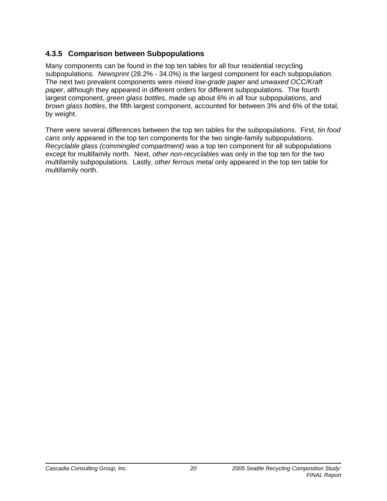## **4.3.5 Comparison between Subpopulations**

Many components can be found in the top ten tables for all four residential recycling subpopulations. *Newsprint* (28.2% - 34.0%) is the largest component for each subpopulation. The next two prevalent components were *mixed low-grade paper* and *unwaxed OCC/Kraft paper*, although they appeared in different orders for different subpopulations. The fourth largest component, *green glass bottles*, made up about 6% in all four subpopulations, and *brown glass bottles*, the fifth largest component, accounted for between 3% and 6% of the total, by weight.

There were several differences between the top ten tables for the subpopulations. First, *tin food cans* only appeared in the top ten components for the two single-family subpopulations. *Recyclable glass (commingled compartment)* was a top ten component for all subpopulations except for multifamily north. Next, *other non-recyclables* was only in the top ten for the two multifamily subpopulations. Lastly, *other ferrous metal* only appeared in the top ten table for multifamily north.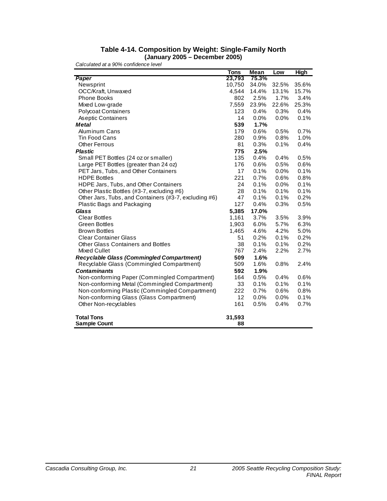#### **Table 4-14. Composition by Weight: Single-Family North (January 2005 – December 2005)**

|                                                       | <b>Tons</b> | Mean  | Low     | <b>High</b> |
|-------------------------------------------------------|-------------|-------|---------|-------------|
| Paper                                                 | 23,793      | 75.3% |         |             |
| Newsprint                                             | 10,750      | 34.0% | 32.5%   | 35.6%       |
| OCC/Kraft, Unwaxed                                    | 4,544       | 14.4% | 13.1%   | 15.7%       |
| <b>Phone Books</b>                                    | 802         | 2.5%  | 1.7%    | 3.4%        |
| Mixed Low-grade                                       | 7,559       | 23.9% | 22.6%   | 25.3%       |
| <b>Polycoat Containers</b>                            | 123         | 0.4%  | 0.3%    | 0.4%        |
| Aseptic Containers                                    | 14          | 0.0%  | 0.0%    | 0.1%        |
| <b>Metal</b>                                          | 539         | 1.7%  |         |             |
| <b>Aluminum Cans</b>                                  | 179         | 0.6%  | 0.5%    | 0.7%        |
| <b>Tin Food Cans</b>                                  | 280         | 0.9%  | 0.8%    | 1.0%        |
| <b>Other Ferrous</b>                                  | 81          | 0.3%  | 0.1%    | 0.4%        |
| <b>Plastic</b>                                        | 775         | 2.5%  |         |             |
| Small PET Bottles (24 oz or smaller)                  | 135         | 0.4%  | 0.4%    | 0.5%        |
| Large PET Bottles (greater than 24 oz)                | 176         | 0.6%  | 0.5%    | 0.6%        |
| PET Jars, Tubs, and Other Containers                  | 17          | 0.1%  | 0.0%    | 0.1%        |
| <b>HDPE Bottles</b>                                   | 221         | 0.7%  | 0.6%    | 0.8%        |
| HDPE Jars, Tubs, and Other Containers                 | 24          | 0.1%  | $0.0\%$ | 0.1%        |
| Other Plastic Bottles (#3-7, excluding #6)            | 28          | 0.1%  | 0.1%    | 0.1%        |
| Other Jars, Tubs, and Containers (#3-7, excluding #6) | 47          | 0.1%  | 0.1%    | 0.2%        |
| Plastic Bags and Packaging                            | 127         | 0.4%  | 0.3%    | 0.5%        |
| <b>Glass</b>                                          | 5,385       | 17.0% |         |             |
| <b>Clear Bottles</b>                                  | 1,161       | 3.7%  | 3.5%    | 3.9%        |
| <b>Green Bottles</b>                                  | 1,903       | 6.0%  | 5.7%    | 6.3%        |
| <b>Brown Bottles</b>                                  | 1,465       | 4.6%  | 4.2%    | 5.0%        |
| <b>Clear Container Glass</b>                          | 51          | 0.2%  | 0.1%    | 0.2%        |
| Other Glass Containers and Bottles                    | 38          | 0.1%  | 0.1%    | 0.2%        |
| Mixed Cullet                                          | 767         | 2.4%  | 2.2%    | 2.7%        |
| <b>Recyclable Glass (Commingled Compartment)</b>      | 509         | 1.6%  |         |             |
| Recyclable Glass (Commingled Compartment)             | 509         | 1.6%  | 0.8%    | 2.4%        |
| <b>Contaminants</b>                                   | 592         | 1.9%  |         |             |
| Non-conforming Paper (Commingled Compartment)         | 164         | 0.5%  | 0.4%    | 0.6%        |
| Non-conforming Metal (Commingled Compartment)         | 33          | 0.1%  | 0.1%    | 0.1%        |
| Non-conforming Plastic (Commingled Compartment)       | 222         | 0.7%  | 0.6%    | 0.8%        |
| Non-conforming Glass (Glass Compartment)              | 12          | 0.0%  | 0.0%    | 0.1%        |
| Other Non-recyclables                                 | 161         | 0.5%  | 0.4%    | 0.7%        |
| <b>Total Tons</b>                                     | 31,593      |       |         |             |
| <b>Sample Count</b>                                   | 88          |       |         |             |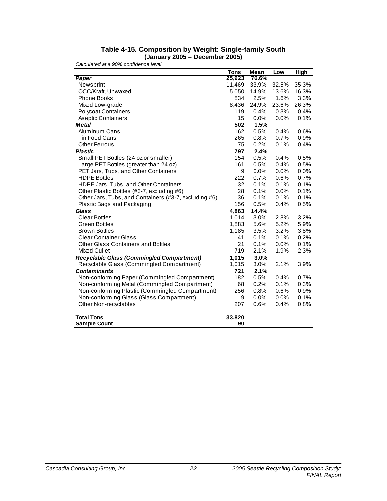#### **Table 4-15. Composition by Weight: Single-family South (January 2005 – December 2005)**

|                                                       | <b>Tons</b> | <b>Mean</b> | Low   | <b>High</b> |
|-------------------------------------------------------|-------------|-------------|-------|-------------|
| Paper                                                 | 25,923      | 76.6%       |       |             |
| Newsprint                                             | 11,469      | 33.9%       | 32.5% | 35.3%       |
| OCC/Kraft, Unwaxed                                    | 5,050       | 14.9%       | 13.6% | 16.3%       |
| <b>Phone Books</b>                                    | 834         | 2.5%        | 1.6%  | 3.3%        |
| Mixed Low-grade                                       | 8,436       | 24.9%       | 23.6% | 26.3%       |
| <b>Polycoat Containers</b>                            | 119         | 0.4%        | 0.3%  | 0.4%        |
| As eptic Containers                                   | 15          | 0.0%        | 0.0%  | 0.1%        |
| <b>Metal</b>                                          | 502         | 1.5%        |       |             |
| <b>Aluminum Cans</b>                                  | 162         | 0.5%        | 0.4%  | 0.6%        |
| <b>Tin Food Cans</b>                                  | 265         | 0.8%        | 0.7%  | 0.9%        |
| <b>Other Ferrous</b>                                  | 75          | 0.2%        | 0.1%  | 0.4%        |
| <b>Plastic</b>                                        | 797         | 2.4%        |       |             |
| Small PET Bottles (24 oz or smaller)                  | 154         | 0.5%        | 0.4%  | 0.5%        |
| Large PET Bottles (greater than 24 oz)                | 161         | 0.5%        | 0.4%  | 0.5%        |
| PET Jars, Tubs, and Other Containers                  | 9           | 0.0%        | 0.0%  | 0.0%        |
| <b>HDPE Bottles</b>                                   | 222         | 0.7%        | 0.6%  | 0.7%        |
| HDPE Jars, Tubs, and Other Containers                 | 32          | 0.1%        | 0.1%  | 0.1%        |
| Other Plastic Bottles (#3-7, excluding #6)            | 28          | 0.1%        | 0.0%  | 0.1%        |
| Other Jars, Tubs, and Containers (#3-7, excluding #6) | 36          | 0.1%        | 0.1%  | 0.1%        |
| Plastic Bags and Packaging                            | 156         | 0.5%        | 0.4%  | 0.5%        |
| <b>Glass</b>                                          | 4,863       | 14.4%       |       |             |
| <b>Clear Bottles</b>                                  | 1,014       | 3.0%        | 2.8%  | 3.2%        |
| <b>Green Bottles</b>                                  | 1,883       | 5.6%        | 5.2%  | 5.9%        |
| <b>Brown Bottles</b>                                  | 1,185       | 3.5%        | 3.2%  | 3.8%        |
| <b>Clear Container Glass</b>                          | 41          | 0.1%        | 0.1%  | 0.2%        |
| <b>Other Glass Containers and Bottles</b>             | 21          | 0.1%        | 0.0%  | 0.1%        |
| Mixed Cullet                                          | 719         | 2.1%        | 1.9%  | 2.3%        |
| <b>Recyclable Glass (Commingled Compartment)</b>      | 1,015       | 3.0%        |       |             |
| Recyclable Glass (Commingled Compartment)             | 1,015       | 3.0%        | 2.1%  | 3.9%        |
| <b>Contaminants</b>                                   | 721         | 2.1%        |       |             |
| Non-conforming Paper (Commingled Compartment)         | 182         | 0.5%        | 0.4%  | 0.7%        |
| Non-conforming Metal (Commingled Compartment)         | 68          | 0.2%        | 0.1%  | 0.3%        |
| Non-conforming Plastic (Commingled Compartment)       | 256         | 0.8%        | 0.6%  | 0.9%        |
| Non-conforming Glass (Glass Compartment)              | 9           | 0.0%        | 0.0%  | 0.1%        |
| Other Non-recyclables                                 | 207         | 0.6%        | 0.4%  | 0.8%        |
| <b>Total Tons</b>                                     | 33,820      |             |       |             |
| <b>Sample Count</b>                                   | 90          |             |       |             |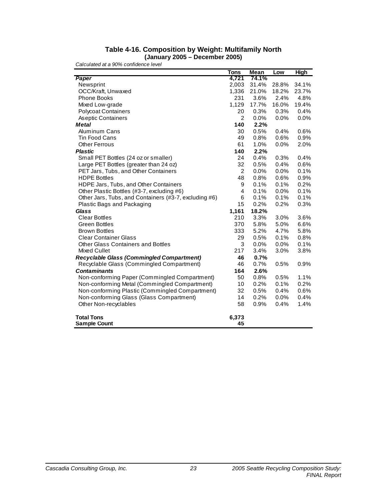#### **Table 4-16. Composition by Weight: Multifamily North (January 2005 – December 2005)**

|                                                       | <b>Tons</b>    | Mean    | Low   | <b>High</b> |
|-------------------------------------------------------|----------------|---------|-------|-------------|
| Paper                                                 | 4,721          | 74.1%   |       |             |
| Newsprint                                             | 2,003          | 31.4%   | 28.8% | 34.1%       |
| OCC/Kraft, Unwaxed                                    | 1,336          | 21.0%   | 18.2% | 23.7%       |
| <b>Phone Books</b>                                    | 231            | 3.6%    | 2.4%  | 4.8%        |
| Mixed Low-grade                                       | 1,129          | 17.7%   | 16.0% | 19.4%       |
| <b>Polycoat Containers</b>                            | 20             | 0.3%    | 0.3%  | 0.4%        |
| Aseptic Containers                                    | $\overline{2}$ | 0.0%    | 0.0%  | 0.0%        |
| <b>Metal</b>                                          | 140            | 2.2%    |       |             |
| <b>Aluminum Cans</b>                                  | 30             | 0.5%    | 0.4%  | 0.6%        |
| <b>Tin Food Cans</b>                                  | 49             | 0.8%    | 0.6%  | 0.9%        |
| <b>Other Ferrous</b>                                  | 61             | 1.0%    | 0.0%  | 2.0%        |
| <b>Plastic</b>                                        | 140            | 2.2%    |       |             |
| Small PET Bottles (24 oz or smaller)                  | 24             | 0.4%    | 0.3%  | 0.4%        |
| Large PET Bottles (greater than 24 oz)                | 32             | 0.5%    | 0.4%  | 0.6%        |
| PET Jars, Tubs, and Other Containers                  | $\overline{2}$ | $0.0\%$ | 0.0%  | 0.1%        |
| <b>HDPE Bottles</b>                                   | 48             | 0.8%    | 0.6%  | 0.9%        |
| HDPE Jars, Tubs, and Other Containers                 | 9              | 0.1%    | 0.1%  | 0.2%        |
| Other Plastic Bottles (#3-7, excluding #6)            | 4              | 0.1%    | 0.0%  | 0.1%        |
| Other Jars, Tubs, and Containers (#3-7, excluding #6) | 6              | 0.1%    | 0.1%  | 0.1%        |
| Plastic Bags and Packaging                            | 15             | 0.2%    | 0.2%  | 0.3%        |
| <b>Glass</b>                                          | 1,161          | 18.2%   |       |             |
| <b>Clear Bottles</b>                                  | 210            | 3.3%    | 3.0%  | 3.6%        |
| <b>Green Bottles</b>                                  | 370            | 5.8%    | 5.0%  | 6.6%        |
| <b>Brown Bottles</b>                                  | 333            | 5.2%    | 4.7%  | 5.8%        |
| <b>Clear Container Glass</b>                          | 29             | 0.5%    | 0.1%  | 0.8%        |
| Other Glass Containers and Bottles                    | 3              | 0.0%    | 0.0%  | 0.1%        |
| Mixed Cullet                                          | 217            | 3.4%    | 3.0%  | 3.8%        |
| <b>Recyclable Glass (Commingled Compartment)</b>      | 46             | 0.7%    |       |             |
| Recyclable Glass (Commingled Compartment)             | 46             | 0.7%    | 0.5%  | 0.9%        |
| <b>Contaminants</b>                                   | 164            | 2.6%    |       |             |
| Non-conforming Paper (Commingled Compartment)         | 50             | 0.8%    | 0.5%  | 1.1%        |
| Non-conforming Metal (Commingled Compartment)         | 10             | 0.2%    | 0.1%  | 0.2%        |
| Non-conforming Plastic (Commingled Compartment)       | 32             | 0.5%    | 0.4%  | 0.6%        |
| Non-conforming Glass (Glass Compartment)              | 14             | 0.2%    | 0.0%  | 0.4%        |
| Other Non-recyclables                                 | 58             | 0.9%    | 0.4%  | 1.4%        |
| <b>Total Tons</b>                                     | 6,373          |         |       |             |
| <b>Sample Count</b>                                   | 45             |         |       |             |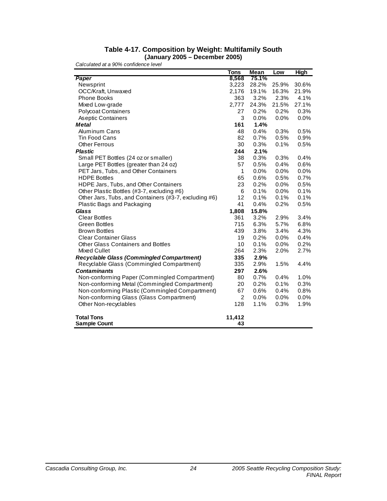#### **Table 4-17. Composition by Weight: Multifamily South (January 2005 – December 2005)**

|                                                       | <b>Tons</b>    | Mean    | Low   | <b>High</b> |
|-------------------------------------------------------|----------------|---------|-------|-------------|
| Paper                                                 | 8,568          | 75.1%   |       |             |
| Newsprint                                             | 3,223          | 28.2%   | 25.9% | 30.6%       |
| OCC/Kraft, Unwaxed                                    | 2,176          | 19.1%   | 16.3% | 21.9%       |
| <b>Phone Books</b>                                    | 363            | 3.2%    | 2.3%  | 4.1%        |
| Mixed Low-grade                                       | 2,777          | 24.3%   | 21.5% | 27.1%       |
| <b>Polycoat Containers</b>                            | 27             | 0.2%    | 0.2%  | 0.3%        |
| As eptic Containers                                   | 3              | 0.0%    | 0.0%  | 0.0%        |
| <b>Metal</b>                                          | 161            | 1.4%    |       |             |
| <b>Aluminum Cans</b>                                  | 48             | 0.4%    | 0.3%  | 0.5%        |
| <b>Tin Food Cans</b>                                  | 82             | 0.7%    | 0.5%  | 0.9%        |
| <b>Other Ferrous</b>                                  | 30             | 0.3%    | 0.1%  | 0.5%        |
| <b>Plastic</b>                                        | 244            | 2.1%    |       |             |
| Small PET Bottles (24 oz or smaller)                  | 38             | 0.3%    | 0.3%  | 0.4%        |
| Large PET Bottles (greater than 24 oz)                | 57             | 0.5%    | 0.4%  | 0.6%        |
| PET Jars, Tubs, and Other Containers                  | 1              | $0.0\%$ | 0.0%  | 0.0%        |
| <b>HDPE Bottles</b>                                   | 65             | 0.6%    | 0.5%  | 0.7%        |
| HDPE Jars, Tubs, and Other Containers                 | 23             | 0.2%    | 0.0%  | 0.5%        |
| Other Plastic Bottles (#3-7, excluding #6)            | 6              | 0.1%    | 0.0%  | 0.1%        |
| Other Jars, Tubs, and Containers (#3-7, excluding #6) | 12             | 0.1%    | 0.1%  | 0.1%        |
| Plastic Bags and Packaging                            | 41             | 0.4%    | 0.2%  | 0.5%        |
| <b>Glass</b>                                          | 1,808          | 15.8%   |       |             |
| <b>Clear Bottles</b>                                  | 361            | 3.2%    | 2.9%  | 3.4%        |
| <b>Green Bottles</b>                                  | 715            | 6.3%    | 5.7%  | 6.8%        |
| <b>Brown Bottles</b>                                  | 439            | 3.8%    | 3.4%  | 4.3%        |
| <b>Clear Container Glass</b>                          | 19             | 0.2%    | 0.0%  | 0.4%        |
| <b>Other Glass Containers and Bottles</b>             | 10             | 0.1%    | 0.0%  | 0.2%        |
| Mixed Cullet                                          | 264            | 2.3%    | 2.0%  | 2.7%        |
| <b>Recyclable Glass (Commingled Compartment)</b>      | 335            | 2.9%    |       |             |
| Recyclable Glass (Commingled Compartment)             | 335            | 2.9%    | 1.5%  | 4.4%        |
| <b>Contaminants</b>                                   | 297            | 2.6%    |       |             |
| Non-conforming Paper (Commingled Compartment)         | 80             | 0.7%    | 0.4%  | 1.0%        |
| Non-conforming Metal (Commingled Compartment)         | 20             | 0.2%    | 0.1%  | 0.3%        |
| Non-conforming Plastic (Commingled Compartment)       | 67             | 0.6%    | 0.4%  | 0.8%        |
| Non-conforming Glass (Glass Compartment)              | $\overline{2}$ | 0.0%    | 0.0%  | 0.0%        |
| Other Non-recyclables                                 | 128            | 1.1%    | 0.3%  | 1.9%        |
| <b>Total Tons</b>                                     | 11,412<br>43   |         |       |             |
| <b>Sample Count</b>                                   |                |         |       |             |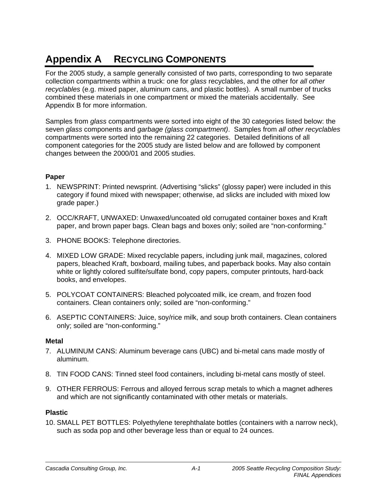# **Appendix A RECYCLING COMPONENTS**

For the 2005 study, a sample generally consisted of two parts, corresponding to two separate collection compartments within a truck: one for *glass* recyclables, and the other for *all other recyclables* (e.g. mixed paper, aluminum cans, and plastic bottles). A small number of trucks combined these materials in one compartment or mixed the materials accidentally. See Appendix B for more information.

Samples from *glass* compartments were sorted into eight of the 30 categories listed below: the seven *glass* components and *garbage (glass compartment)*. Samples from *all other recyclables*  compartments were sorted into the remaining 22 categories. Detailed definitions of all component categories for the 2005 study are listed below and are followed by component changes between the 2000/01 and 2005 studies.

### **Paper**

- 1. NEWSPRINT: Printed newsprint. (Advertising "slicks" (glossy paper) were included in this category if found mixed with newspaper; otherwise, ad slicks are included with mixed low grade paper.)
- 2. OCC/KRAFT, UNWAXED: Unwaxed/uncoated old corrugated container boxes and Kraft paper, and brown paper bags. Clean bags and boxes only; soiled are "non-conforming."
- 3. PHONE BOOKS: Telephone directories.
- 4. MIXED LOW GRADE: Mixed recyclable papers, including junk mail, magazines, colored papers, bleached Kraft, boxboard, mailing tubes, and paperback books. May also contain white or lightly colored sulfite/sulfate bond, copy papers, computer printouts, hard-back books, and envelopes.
- 5. POLYCOAT CONTAINERS: Bleached polycoated milk, ice cream, and frozen food containers. Clean containers only; soiled are "non-conforming."
- 6. ASEPTIC CONTAINERS: Juice, soy/rice milk, and soup broth containers. Clean containers only; soiled are "non-conforming."

### **Metal**

- 7. ALUMINUM CANS: Aluminum beverage cans (UBC) and bi-metal cans made mostly of aluminum.
- 8. TIN FOOD CANS: Tinned steel food containers, including bi-metal cans mostly of steel.
- 9. OTHER FERROUS: Ferrous and alloyed ferrous scrap metals to which a magnet adheres and which are not significantly contaminated with other metals or materials.

### **Plastic**

10. SMALL PET BOTTLES: Polyethylene terephthalate bottles (containers with a narrow neck), such as soda pop and other beverage less than or equal to 24 ounces.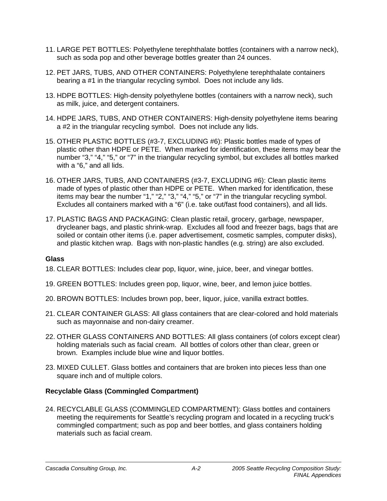- 11. LARGE PET BOTTLES: Polyethylene terephthalate bottles (containers with a narrow neck), such as soda pop and other beverage bottles greater than 24 ounces.
- 12. PET JARS, TUBS, AND OTHER CONTAINERS: Polyethylene terephthalate containers bearing a #1 in the triangular recycling symbol. Does not include any lids.
- 13. HDPE BOTTLES: High-density polyethylene bottles (containers with a narrow neck), such as milk, juice, and detergent containers.
- 14. HDPE JARS, TUBS, AND OTHER CONTAINERS: High-density polyethylene items bearing a #2 in the triangular recycling symbol. Does not include any lids.
- 15. OTHER PLASTIC BOTTLES (#3-7, EXCLUDING #6): Plastic bottles made of types of plastic other than HDPE or PETE. When marked for identification, these items may bear the number "3," "4," "5," or "7" in the triangular recycling symbol, but excludes all bottles marked with a "6," and all lids.
- 16. OTHER JARS, TUBS, AND CONTAINERS (#3-7, EXCLUDING #6): Clean plastic items made of types of plastic other than HDPE or PETE. When marked for identification, these items may bear the number "1," "2," "3," "4," "5," or "7" in the triangular recycling symbol. Excludes all containers marked with a "6" (i.e. take out/fast food containers), and all lids.
- 17. PLASTIC BAGS AND PACKAGING: Clean plastic retail, grocery, garbage, newspaper, drycleaner bags, and plastic shrink-wrap. Excludes all food and freezer bags, bags that are soiled or contain other items (i.e. paper advertisement, cosmetic samples, computer disks), and plastic kitchen wrap. Bags with non-plastic handles (e.g. string) are also excluded.

### **Glass**

- 18. CLEAR BOTTLES: Includes clear pop, liquor, wine, juice, beer, and vinegar bottles.
- 19. GREEN BOTTLES: Includes green pop, liquor, wine, beer, and lemon juice bottles.
- 20. BROWN BOTTLES: Includes brown pop, beer, liquor, juice, vanilla extract bottles.
- 21. CLEAR CONTAINER GLASS: All glass containers that are clear-colored and hold materials such as mayonnaise and non-dairy creamer.
- 22. OTHER GLASS CONTAINERS AND BOTTLES: All glass containers (of colors except clear) holding materials such as facial cream. All bottles of colors other than clear, green or brown. Examples include blue wine and liquor bottles.
- 23. MIXED CULLET. Glass bottles and containers that are broken into pieces less than one square inch and of multiple colors.

### **Recyclable Glass (Commingled Compartment)**

24. RECYCLABLE GLASS (COMMINGLED COMPARTMENT): Glass bottles and containers meeting the requirements for Seattle's recycling program and located in a recycling truck's commingled compartment; such as pop and beer bottles, and glass containers holding materials such as facial cream.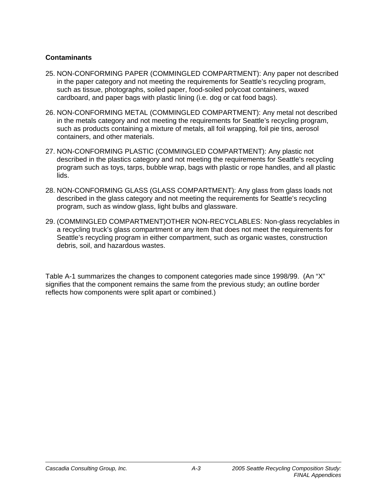### **Contaminants**

- 25. NON-CONFORMING PAPER (COMMINGLED COMPARTMENT): Any paper not described in the paper category and not meeting the requirements for Seattle's recycling program, such as tissue, photographs, soiled paper, food-soiled polycoat containers, waxed cardboard, and paper bags with plastic lining (i.e. dog or cat food bags).
- 26. NON-CONFORMING METAL (COMMINGLED COMPARTMENT): Any metal not described in the metals category and not meeting the requirements for Seattle's recycling program, such as products containing a mixture of metals, all foil wrapping, foil pie tins, aerosol containers, and other materials.
- 27. NON-CONFORMING PLASTIC (COMMINGLED COMPARTMENT): Any plastic not described in the plastics category and not meeting the requirements for Seattle's recycling program such as toys, tarps, bubble wrap, bags with plastic or rope handles, and all plastic lids.
- 28. NON-CONFORMING GLASS (GLASS COMPARTMENT): Any glass from glass loads not described in the glass category and not meeting the requirements for Seattle's recycling program, such as window glass, light bulbs and glassware.
- 29. (COMMINGLED COMPARTMENT)OTHER NON-RECYCLABLES: Non-glass recyclables in a recycling truck's glass compartment or any item that does not meet the requirements for Seattle's recycling program in either compartment, such as organic wastes, construction debris, soil, and hazardous wastes.

Table A-1 summarizes the changes to component categories made since 1998/99. (An "X" signifies that the component remains the same from the previous study; an outline border reflects how components were split apart or combined.)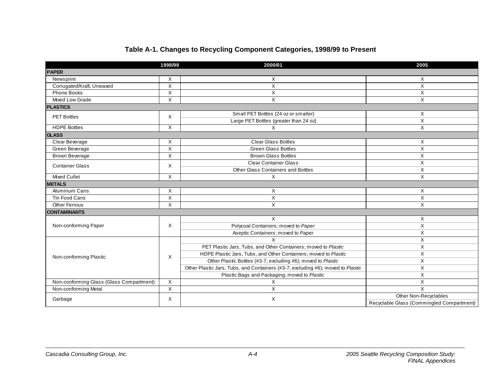## **Table A-1. Changes to Recycling Component Categories, 1998/99 to Present**

|                                          | 1998/99        | 2000/01                                                                         | 2005                                      |  |
|------------------------------------------|----------------|---------------------------------------------------------------------------------|-------------------------------------------|--|
| <b>PAPER</b>                             |                |                                                                                 |                                           |  |
| Newsprint                                | X              | Χ                                                                               | X                                         |  |
| Corrugated/Kraft, Unwaxed                | X              | X                                                                               | X                                         |  |
| Phone Books                              | X              | X                                                                               | X                                         |  |
| Mixed Low Grade                          | X              | $\mathsf X$                                                                     | X                                         |  |
| <b>PLASTICS</b>                          |                |                                                                                 |                                           |  |
| <b>PET Bottles</b>                       | X              | Small PET Bottles (24 oz or smaller)                                            | X                                         |  |
|                                          |                | Large PET Bottles (greater than 24 oz)                                          | X                                         |  |
| <b>HDPE Bottles</b>                      | X              | X                                                                               | X                                         |  |
| <b>GLASS</b>                             |                |                                                                                 |                                           |  |
| Clear Beverage                           | X              | <b>Clear Glass Bottles</b>                                                      | X                                         |  |
| Green Beverage                           | $\overline{X}$ | <b>Green Glass Bottles</b>                                                      | $\overline{X}$                            |  |
| Brown Beverage                           | X              | <b>Brown Glass Bottles</b>                                                      | X                                         |  |
| <b>Container Glass</b>                   | Χ              | <b>Clear Container Glass</b>                                                    | X                                         |  |
|                                          |                | Other Glass Containers and Bottles                                              | X                                         |  |
| Mixed Cullet                             | X              | X                                                                               | X                                         |  |
| <b>METALS</b>                            |                |                                                                                 |                                           |  |
| Aluminum Cans                            | X              | Χ                                                                               | X                                         |  |
| Tin Food Cans                            | X              | X                                                                               | X                                         |  |
| <b>Other Ferrous</b>                     | X              | X                                                                               | X                                         |  |
| <b>CONTAMINANTS</b>                      |                |                                                                                 |                                           |  |
|                                          |                | X                                                                               | X                                         |  |
| Non-conforming Paper                     | X              | Polycoat Containers; moved to Paper                                             | X                                         |  |
|                                          |                | Aseptic Containers; moved to Paper                                              | X                                         |  |
|                                          |                | $\mathsf{x}$                                                                    | X                                         |  |
|                                          |                | PET Plastic Jars, Tubs, and Other Containers; moved to Plastic                  | X                                         |  |
| Non-conforming Plastic                   | X              | HDPE Plastic Jars, Tubs, and Other Containers; moved to Plastic                 | X                                         |  |
|                                          |                | Other Plastic Bottles (#3-7, excluding #6); moved to Plastic                    | X                                         |  |
|                                          |                | Other Plastic Jars, Tubs, and Containers (#3-7, excluding #6); moved to Plastic | X                                         |  |
|                                          |                | Plastic Bags and Packaging; moved to Plastic                                    | X                                         |  |
| Non-conforming Glass (Glass Compartment) | X              | Χ                                                                               | X                                         |  |
| Non-conforming Metal                     | X              | X                                                                               | X                                         |  |
| Garbage                                  | Χ              | X                                                                               | Other Non-Recyclables                     |  |
|                                          |                |                                                                                 | Recyclable Glass (Commingled Compartment) |  |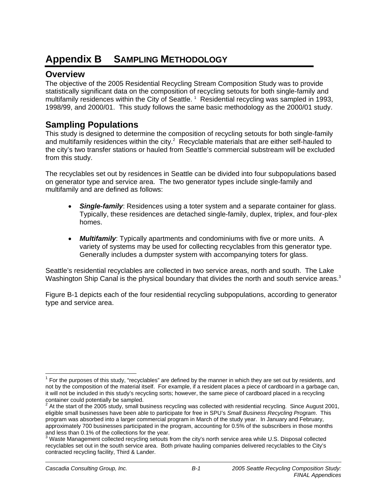# **Appendix B SAMPLING METHODOLOGY**

## **Overview**

The objective of the 2005 Residential Recycling Stream Composition Study was to provide statistically significant data on the composition of recycling setouts for both single-family and multifamily residences within the City of Seattle.<sup>1</sup> Residential recycling was sampled in 1993, 1998/99, and 2000/01. This study follows the same basic methodology as the 2000/01 study.

# **Sampling Populations**

This study is designed to determine the composition of recycling setouts for both single-family and multifamily residences within the city. $2$  Recyclable materials that are either self-hauled to the city's two transfer stations or hauled from Seattle's commercial substream will be excluded from this study.

The recyclables set out by residences in Seattle can be divided into four subpopulations based on generator type and service area. The two generator types include single-family and multifamily and are defined as follows:

- *Single-family*: Residences using a toter system and a separate container for glass. Typically, these residences are detached single-family, duplex, triplex, and four-plex homes.
- *Multifamily*: Typically apartments and condominiums with five or more units. A variety of systems may be used for collecting recyclables from this generator type. Generally includes a dumpster system with accompanying toters for glass.

Seattle's residential recyclables are collected in two service areas, north and south. The Lake Washington Ship Canal is the physical boundary that divides the north and south service areas.<sup>3</sup>

Figure B-1 depicts each of the four residential recycling subpopulations, according to generator type and service area.

-

 $1$  For the purposes of this study, "recyclables" are defined by the manner in which they are set out by residents, and not by the composition of the material itself. For example, if a resident places a piece of cardboard in a garbage can, it will not be included in this study's recycling sorts; however, the same piece of cardboard placed in a recycling

container could potentially be sampled.<br><sup>2</sup> At the start of the 2005 study, small business recycling was collected with residential recycling. Since August 2001, eligible small businesses have been able to participate for free in SPU's *Small Business Recycling Program*. This program was absorbed into a larger commercial program in March of the study year. In January and February, approximately 700 businesses participated in the program, accounting for 0.5% of the subscribers in those months and less than 0.1% of the collections for the year.

 $3$  Waste Management collected recycling setouts from the city's north service area while U.S. Disposal collected recyclables set out in the south service area. Both private hauling companies delivered recyclables to the City's contracted recycling facility, Third & Lander.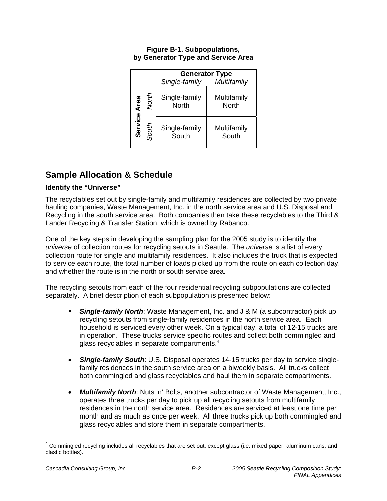#### **Figure B-1. Subpopulations, by Generator Type and Service Area**

|         |       |                               | <b>Generator Type</b> |
|---------|-------|-------------------------------|-----------------------|
|         |       | Single-family                 | Multifamily           |
| Area    | North | Single-family<br><b>North</b> | Multifamily<br>North  |
| Service | South | Single-family<br>South        | Multifamily<br>South  |

# **Sample Allocation & Schedule**

### **Identify the "Universe"**

The recyclables set out by single-family and multifamily residences are collected by two private hauling companies, Waste Management, Inc. in the north service area and U.S. Disposal and Recycling in the south service area. Both companies then take these recyclables to the Third & Lander Recycling & Transfer Station, which is owned by Rabanco.

One of the key steps in developing the sampling plan for the 2005 study is to identify the *universe* of collection routes for recycling setouts in Seattle. The *universe* is a list of every collection route for single and multifamily residences. It also includes the truck that is expected to service each route, the total number of loads picked up from the route on each collection day, and whether the route is in the north or south service area.

The recycling setouts from each of the four residential recycling subpopulations are collected separately. A brief description of each subpopulation is presented below:

- *Single-family North*: Waste Management, Inc. and J & M (a subcontractor) pick up recycling setouts from single-family residences in the north service area. Each household is serviced every other week. On a typical day, a total of 12-15 trucks are in operation. These trucks service specific routes and collect both commingled and glass recyclables in separate compartments. $4$
- *Single-family South*: U.S. Disposal operates 14-15 trucks per day to service singlefamily residences in the south service area on a biweekly basis. All trucks collect both commingled and glass recyclables and haul them in separate compartments.
- *Multifamily North*: Nuts 'n' Bolts, another subcontractor of Waste Management, Inc., operates three trucks per day to pick up all recycling setouts from multifamily residences in the north service area. Residences are serviced at least one time per month and as much as once per week. All three trucks pick up both commingled and glass recyclables and store them in separate compartments.

<sup>-</sup><sup>4</sup> Commingled recycling includes all recyclables that are set out, except glass (i.e. mixed paper, aluminum cans, and plastic bottles).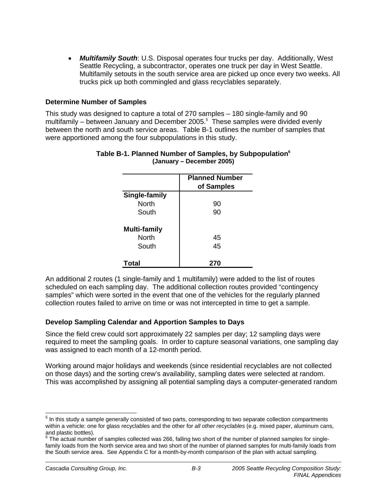• *Multifamily South*: U.S. Disposal operates four trucks per day. Additionally, West Seattle Recycling, a subcontractor, operates one truck per day in West Seattle. Multifamily setouts in the south service area are picked up once every two weeks. All trucks pick up both commingled and glass recyclables separately.

#### **Determine Number of Samples**

This study was designed to capture a total of 270 samples – 180 single-family and 90 multifamily – between January and December 2005. $5$  These samples were divided evenly between the north and south service areas. Table B-1 outlines the number of samples that were apportioned among the four subpopulations in this study.

|                     | <b>Planned Number</b><br>of Samples |
|---------------------|-------------------------------------|
| Single-family       |                                     |
| <b>North</b>        | 90                                  |
| South               | 90                                  |
| <b>Multi-family</b> |                                     |
| <b>North</b>        | 45                                  |
| South               | 45                                  |
| Total               | 270                                 |

#### **Table B-1. Planned Number of Samples, by Subpopulation6 (January – December 2005)**

An additional 2 routes (1 single-family and 1 multifamily) were added to the list of routes scheduled on each sampling day. The additional collection routes provided "contingency samples" which were sorted in the event that one of the vehicles for the regularly planned collection routes failed to arrive on time or was not intercepted in time to get a sample.

### **Develop Sampling Calendar and Apportion Samples to Days**

Since the field crew could sort approximately 22 samples per day; 12 sampling days were required to meet the sampling goals. In order to capture seasonal variations, one sampling day was assigned to each month of a 12-month period.

Working around major holidays and weekends (since residential recyclables are not collected on those days) and the sorting crew's availability, sampling dates were selected at random. This was accomplished by assigning all potential sampling days a computer-generated random

<sup>&</sup>lt;u>-</u><br><sup>5</sup> In this study a sample generally consisted of two parts, corresponding to two separate collection compartments within a vehicle: one for glass recyclables and the other for *all other recyclables* (e.g. mixed paper, aluminum cans, and plastic bottles).

 $^6$  The actual number of samples collected was 266, falling two short of the number of planned samples for singlefamily loads from the North service area and two short of the number of planned samples for multi-family loads from the South service area. See Appendix C for a month-by-month comparison of the plan with actual sampling.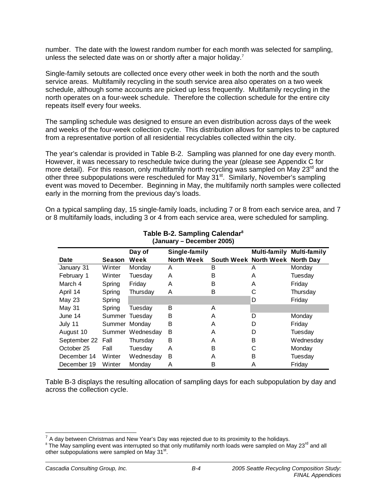number. The date with the lowest random number for each month was selected for sampling, unless the selected date was on or shortly after a major holiday.<sup>7</sup>

Single-family setouts are collected once every other week in both the north and the south service areas. Multifamily recycling in the south service area also operates on a two week schedule, although some accounts are picked up less frequently. Multifamily recycling in the north operates on a four-week schedule. Therefore the collection schedule for the entire city repeats itself every four weeks.

The sampling schedule was designed to ensure an even distribution across days of the week and weeks of the four-week collection cycle. This distribution allows for samples to be captured from a representative portion of all residential recyclables collected within the city.

The year's calendar is provided in Table B-2. Sampling was planned for one day every month. However, it was necessary to reschedule twice during the year (please see Appendix C for more detail). For this reason, only multifamily north recycling was sampled on May  $23<sup>rd</sup>$  and the other three subpopulations were rescheduled for May 31<sup>st</sup>. Similarly, November's sampling event was moved to December. Beginning in May, the multifamily north samples were collected early in the morning from the previous day's loads.

On a typical sampling day, 15 single-family loads, including 7 or 8 from each service area, and 7 or 8 multifamily loads, including 3 or 4 from each service area, were scheduled for sampling.

| iganuai y – Deceniber Zugor |               |                  |                   |   |                                 |                                  |  |
|-----------------------------|---------------|------------------|-------------------|---|---------------------------------|----------------------------------|--|
| Day of<br>Single-family     |               |                  |                   |   |                                 | <b>Multi-family Multi-family</b> |  |
| Date                        | Season        | Week             | <b>North Week</b> |   | South Week North Week North Day |                                  |  |
| January 31                  | Winter        | Monday           | A                 | B | A                               | Monday                           |  |
| February 1                  | Winter        | Tuesday          | A                 | B | A                               | Tuesdav                          |  |
| March 4                     | Spring        | Friday           | A                 | B | A                               | Friday                           |  |
| April 14                    | Spring        | Thursday         | A                 | B | С                               | Thursday                         |  |
| <b>May 23</b>               | Spring        |                  |                   |   | D                               | Friday                           |  |
| May 31                      | Spring        | Tuesday          | B                 | A |                                 |                                  |  |
| June 14                     |               | Summer Tuesday   | в                 | A | D                               | Monday                           |  |
| July 11                     | Summer Monday |                  | B                 | A | D                               | Friday                           |  |
| August 10                   |               | Summer Wednesday | B                 | A | D                               | Tuesday                          |  |
| September 22 Fall           |               | Thursday         | В                 | A | B                               | Wednesday                        |  |
| October 25                  | Fall          | Tuesday          | A                 | B | С                               | Monday                           |  |
| December 14                 | Winter        | Wednesday        | B                 | A | в                               | Tuesday                          |  |
| December 19                 | Winter        | Monday           | A                 | B | A                               | Friday                           |  |

#### **Table B-2. Sampling Calendar8 (January – December 2005)**

Table B-3 displays the resulting allocation of sampling days for each subpopulation by day and across the collection cycle.

<sup>————————————————————&</sup>lt;br><sup>7</sup> A day between Christmas and New Year's Day was rejected due to its proximity to the holidays.

<sup>&</sup>lt;sup>8</sup> The May sampling event was interrupted so that only mutilitamily north loads were sampled on May 23<sup>rd</sup> and all other subpopulations were sampled on May 31<sup>st</sup>.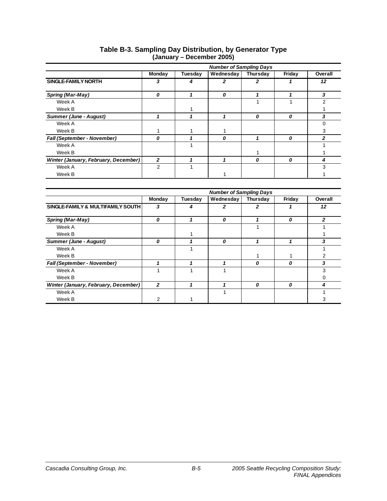|                                      | <b>Number of Sampling Days</b> |         |                  |          |        |         |  |
|--------------------------------------|--------------------------------|---------|------------------|----------|--------|---------|--|
|                                      | Monday                         | Tuesday | Wednesday        | Thursday | Friday | Overall |  |
| <b>SINGLE-FAMILY NORTH</b>           | 3                              | 4       | 2                | 2        |        | 12      |  |
| Spring (Mar-May)                     | 0                              |         | $\boldsymbol{0}$ |          |        | 3       |  |
| Week A                               |                                |         |                  |          |        | 2       |  |
| Week B                               |                                |         |                  |          |        |         |  |
| <b>Summer (June - August)</b>        |                                |         |                  | 0        | 0      | 3       |  |
| Week A                               |                                |         |                  |          |        | ∩       |  |
| Week B                               |                                |         |                  |          |        | 3       |  |
| <b>Fall (September - November)</b>   | 0                              |         | 0                |          | 0      | 2       |  |
| Week A                               |                                |         |                  |          |        |         |  |
| Week B                               |                                |         |                  |          |        |         |  |
| Winter (January, February, December) | $\mathbf{2}$                   |         |                  | 0        | 0      | 4       |  |
| Week A                               | 2                              |         |                  |          |        | 3       |  |
| Week B                               |                                |         |                  |          |        |         |  |

#### **Table B-3. Sampling Day Distribution, by Generator Type (January – December 2005)**

|                                      | <b>Number of Sampling Days</b> |         |           |          |        |         |  |
|--------------------------------------|--------------------------------|---------|-----------|----------|--------|---------|--|
|                                      | Monday                         | Tuesday | Wednesday | Thursday | Friday | Overall |  |
| SINGLE-FAMILY & MULTIFAMILY SOUTH    | 3                              | 4       |           | 2        |        | 12      |  |
| Spring (Mar-May)                     | 0                              |         | 0         |          | 0      | 2       |  |
| Week A                               |                                |         |           |          |        |         |  |
| Week B                               |                                |         |           |          |        |         |  |
| Summer (June - August)               | 0                              |         | 0         |          |        | 3       |  |
| Week A                               |                                |         |           |          |        |         |  |
| Week B                               |                                |         |           |          |        | 2       |  |
| Fall (September - November)          |                                |         |           | 0        | 0      | 3       |  |
| Week A                               |                                |         |           |          |        | 3       |  |
| Week B                               |                                |         |           |          |        | Ω       |  |
| Winter (January, February, December) | 2                              |         |           | 0        | 0      | 4       |  |
| Week A                               |                                |         |           |          |        |         |  |
| Week B                               | 2                              |         |           |          |        | 3       |  |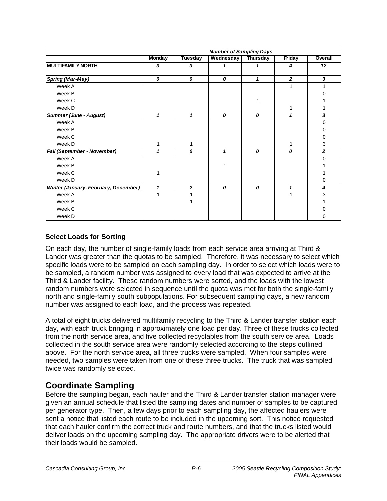|                                      |               |                | <b>Number of Sampling Days</b> |                 |               |                |
|--------------------------------------|---------------|----------------|--------------------------------|-----------------|---------------|----------------|
|                                      | <b>Monday</b> | <b>Tuesday</b> | Wednesday                      | <b>Thursday</b> | <b>Friday</b> | Overall        |
| <b>MULTIFAMILY NORTH</b>             | 3             | 3              | 1                              | 1               | 4             | 12             |
| Spring (Mar-May)                     | 0             | 0              | 0                              | 1               | $\mathbf{2}$  | 3              |
| Week A                               |               |                |                                |                 | 1             | 1              |
| Week B                               |               |                |                                |                 |               |                |
| Week C                               |               |                |                                |                 |               |                |
| Week D                               |               |                |                                |                 | 1             |                |
| <b>Summer (June - August)</b>        | 1             | 1              | 0                              | 0               | 1             | 3              |
| Week A                               |               |                |                                |                 |               | $\Omega$       |
| Week B                               |               |                |                                |                 |               | O              |
| Week C                               |               |                |                                |                 |               | 0              |
| Week D                               | 1             | 1              |                                |                 | 1             | 3              |
| Fall (September - November)          | 1             | 0              | 1                              | 0               | 0             | $\overline{2}$ |
| Week A                               |               |                |                                |                 |               | $\Omega$       |
| Week B                               |               |                |                                |                 |               |                |
| Week C                               | 1             |                |                                |                 |               |                |
| Week D                               |               |                |                                |                 |               | 0              |
| Winter (January, February, December) | $\mathbf{1}$  | $\overline{2}$ | 0                              | 0               | 1             | 4              |
| Week A                               | 1             |                |                                |                 | 1             | 3              |
| Week B                               |               |                |                                |                 |               |                |
| Week C                               |               |                |                                |                 |               |                |
| Week D                               |               |                |                                |                 |               | 0              |

### **Select Loads for Sorting**

On each day, the number of single-family loads from each service area arriving at Third & Lander was greater than the quotas to be sampled. Therefore, it was necessary to select which specific loads were to be sampled on each sampling day. In order to select which loads were to be sampled, a random number was assigned to every load that was expected to arrive at the Third & Lander facility. These random numbers were sorted, and the loads with the lowest random numbers were selected in sequence until the quota was met for both the single-family north and single-family south subpopulations. For subsequent sampling days, a new random number was assigned to each load, and the process was repeated.

A total of eight trucks delivered multifamily recycling to the Third & Lander transfer station each day, with each truck bringing in approximately one load per day. Three of these trucks collected from the north service area, and five collected recyclables from the south service area. Loads collected in the south service area were randomly selected according to the steps outlined above. For the north service area, all three trucks were sampled. When four samples were needed, two samples were taken from one of these three trucks. The truck that was sampled twice was randomly selected.

# **Coordinate Sampling**

Before the sampling began, each hauler and the Third & Lander transfer station manager were given an annual schedule that listed the sampling dates and number of samples to be captured per generator type. Then, a few days prior to each sampling day, the affected haulers were sent a notice that listed each route to be included in the upcoming sort. This notice requested that each hauler confirm the correct truck and route numbers, and that the trucks listed would deliver loads on the upcoming sampling day. The appropriate drivers were to be alerted that their loads would be sampled.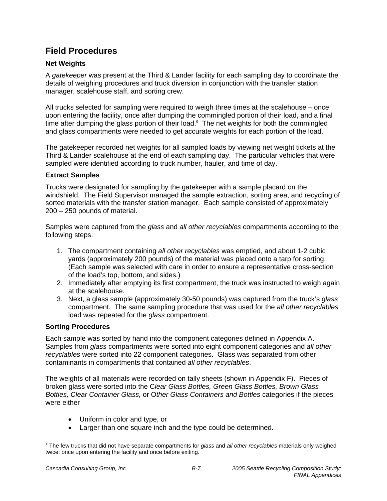# **Field Procedures**

## **Net Weights**

A *gatekeeper* was present at the Third & Lander facility for each sampling day to coordinate the details of weighing procedures and truck diversion in conjunction with the transfer station manager, scalehouse staff, and sorting crew.

All trucks selected for sampling were required to weigh three times at the scalehouse – once upon entering the facility, once after dumping the commingled portion of their load, and a final time after dumping the glass portion of their load. $9$  The net weights for both the commingled and glass compartments were needed to get accurate weights for each portion of the load.

The gatekeeper recorded net weights for all sampled loads by viewing net weight tickets at the Third & Lander scalehouse at the end of each sampling day. The particular vehicles that were sampled were identified according to truck number, hauler, and time of day.

### **Extract Samples**

Trucks were designated for sampling by the gatekeeper with a sample placard on the windshield. The Field Supervisor managed the sample extraction, sorting area, and recycling of sorted materials with the transfer station manager. Each sample consisted of approximately 200 – 250 pounds of material.

Samples were captured from the *glass* and *all other recyclables* compartments according to the following steps.

- 1. The compartment containing *all other recyclables* was emptied, and about 1-2 cubic yards (approximately 200 pounds) of the material was placed onto a tarp for sorting. (Each sample was selected with care in order to ensure a representative cross-section of the load's top, bottom, and sides.)
- 2. Immediately after emptying its first compartment, the truck was instructed to weigh again at the scalehouse.
- 3. Next, a glass sample (approximately 30-50 pounds) was captured from the truck's *glass* compartment. The same sampling procedure that was used for the *all other recyclables*  load was repeated for the *glass* compartment.

## **Sorting Procedures**

Each sample was sorted by hand into the component categories defined in Appendix A. Samples from *glass* compartments were sorted into eight component categories and *all other recyclables* were sorted into 22 component categories. Glass was separated from other contaminants in compartments that contained *all other recyclables*.

The weights of all materials were recorded on tally sheets (shown in Appendix F). Pieces of broken glass were sorted into the C*lear Glass Bottles, Green Glass Bottles, Brown Glass Bottles, Clear Container Glass,* or O*ther Glass Containers and Bottles* categories if the pieces were either

- Uniform in color and type, or
- Larger than one square inch and the type could be determined.

 9 The few trucks that did not have separate compartments for *glass* and *all other recyclables* materials only weighed twice: once upon entering the facility and once before exiting.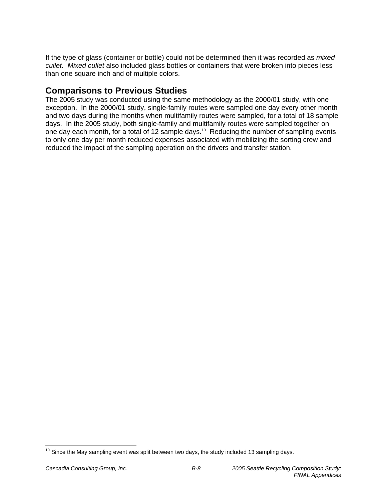If the type of glass (container or bottle) could not be determined then it was recorded as *mixed cullet. Mixed cullet* also included glass bottles or containers that were broken into pieces less than one square inch and of multiple colors.

# **Comparisons to Previous Studies**

The 2005 study was conducted using the same methodology as the 2000/01 study, with one exception. In the 2000/01 study, single-family routes were sampled one day every other month and two days during the months when multifamily routes were sampled, for a total of 18 sample days. In the 2005 study, both single-family and multifamily routes were sampled together on one day each month, for a total of 12 sample days.<sup>10</sup> Reducing the number of sampling events to only one day per month reduced expenses associated with mobilizing the sorting crew and reduced the impact of the sampling operation on the drivers and transfer station.

<sup>-</sup> $10$  Since the May sampling event was split between two days, the study included 13 sampling days.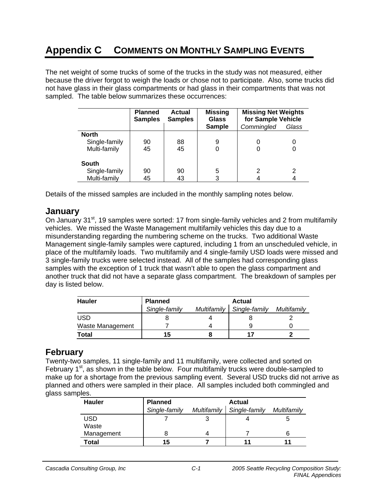# **Appendix C COMMENTS ON MONTHLY SAMPLING EVENTS**

The net weight of some trucks of some of the trucks in the study was not measured, either because the driver forgot to weigh the loads or chose not to participate. Also, some trucks did not have glass in their glass compartments or had glass in their compartments that was not sampled. The table below summarizes these occurrences:

|               | <b>Planned</b><br><b>Samples</b> | Actual<br><b>Samples</b> | <b>Missing</b><br><b>Glass</b> | <b>Missing Net Weights</b><br>for Sample Vehicle |       |
|---------------|----------------------------------|--------------------------|--------------------------------|--------------------------------------------------|-------|
|               |                                  |                          | <b>Sample</b>                  | Commingled                                       | Glass |
| <b>North</b>  |                                  |                          |                                |                                                  |       |
| Single-family | 90                               | 88                       | 9                              | O                                                |       |
| Multi-family  | 45                               | 45                       |                                |                                                  |       |
| <b>South</b>  |                                  |                          |                                |                                                  |       |
| Single-family | 90                               | 90                       | 5                              |                                                  | 2     |
| Multi-family  | 45                               | 43                       | 3                              |                                                  |       |

Details of the missed samples are included in the monthly sampling notes below.

## **January**

On January 31<sup>st</sup>, 19 samples were sorted: 17 from single-family vehicles and 2 from multifamily vehicles. We missed the Waste Management multifamily vehicles this day due to a misunderstanding regarding the numbering scheme on the trucks. Two additional Waste Management single-family samples were captured, including 1 from an unscheduled vehicle, in place of the multifamily loads. Two multifamily and 4 single-family USD loads were missed and 3 single-family trucks were selected instead. All of the samples had corresponding glass samples with the exception of 1 truck that wasn't able to open the glass compartment and another truck that did not have a separate glass compartment. The breakdown of samples per day is listed below.

| <b>Hauler</b>    | <b>Planned</b> | Actual      |               |             |
|------------------|----------------|-------------|---------------|-------------|
|                  | Single-family  | Multifamily | Single-family | Multifamily |
| <b>USD</b>       |                |             |               |             |
| Waste Management |                |             |               |             |
| <b>Total</b>     | 15             |             |               |             |

## **February**

Twenty-two samples, 11 single-family and 11 multifamily, were collected and sorted on February  $1<sup>st</sup>$ , as shown in the table below. Four multifamily trucks were double-sampled to make up for a shortage from the previous sampling event. Several USD trucks did not arrive as planned and others were sampled in their place. All samples included both commingled and glass samples.

| <b>Hauler</b> | <b>Planned</b> |             | <b>Actual</b> |             |  |
|---------------|----------------|-------------|---------------|-------------|--|
|               | Single-family  | Multifamily | Single-family | Multifamily |  |
| <b>USD</b>    |                | າ           |               |             |  |
| Waste         |                |             |               |             |  |
| Management    |                |             |               |             |  |
| Total         | 15             |             | 11            |             |  |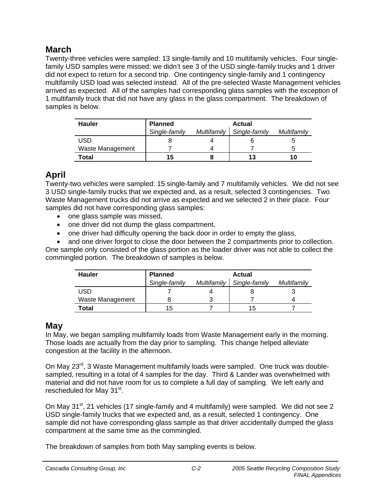# **March**

Twenty-three vehicles were sampled: 13 single-family and 10 multifamily vehicles. Four singlefamily USD samples were missed: we didn't see 3 of the USD single-family trucks and 1 driver did not expect to return for a second trip. One contingency single-family and 1 contingency multifamily USD load was selected instead. All of the pre-selected Waste Management vehicles arrived as expected. All of the samples had corresponding glass samples with the exception of 1 multifamily truck that did not have any glass in the glass compartment. The breakdown of samples is below.

| <b>Hauler</b>    | Planned       |             | <b>Actual</b> |             |  |
|------------------|---------------|-------------|---------------|-------------|--|
|                  | Single-family | Multifamily | Single-family | Multifamily |  |
| USD              |               |             |               |             |  |
| Waste Management |               |             |               |             |  |
| Total            | 15            |             | 13            | 10          |  |

# **April**

Twenty-two vehicles were sampled: 15 single-family and 7 multifamily vehicles. We did not see 3 USD single-family trucks that we expected and, as a result, selected 3 contingencies. Two Waste Management trucks did not arrive as expected and we selected 2 in their place. Four samples did not have corresponding glass samples:

- one glass sample was missed,
- one driver did not dump the glass compartment,
- one driver had difficulty opening the back door in order to empty the glass,

• and one driver forgot to close the door between the 2 compartments prior to collection. One sample only consisted of the glass portion as the loader driver was not able to collect the commingled portion. The breakdown of samples is below.

| <b>Hauler</b>    | <b>Planned</b> |             | <b>Actual</b> |             |  |
|------------------|----------------|-------------|---------------|-------------|--|
|                  | Single-family  | Multifamily | Single-family | Multifamily |  |
| <b>USD</b>       |                |             |               |             |  |
| Waste Management |                |             |               |             |  |
| <b>Total</b>     | 15             |             | 15            |             |  |

## **May**

In May, we began sampling multifamily loads from Waste Management early in the morning. Those loads are actually from the day prior to sampling. This change helped alleviate congestion at the facility in the afternoon.

On May 23<sup>rd</sup>, 3 Waste Management multifamily loads were sampled. One truck was doublesampled, resulting in a total of 4 samples for the day. Third & Lander was overwhelmed with material and did not have room for us to complete a full day of sampling. We left early and rescheduled for May 31<sup>st</sup>.

On May 31<sup>st</sup>, 21 vehicles (17 single-family and 4 multifamily) were sampled. We did not see 2 USD single-family trucks that we expected and, as a result, selected 1 contingency. One sample did not have corresponding glass sample as that driver accidentally dumped the glass compartment at the same time as the commingled.

The breakdown of samples from both May sampling events is below.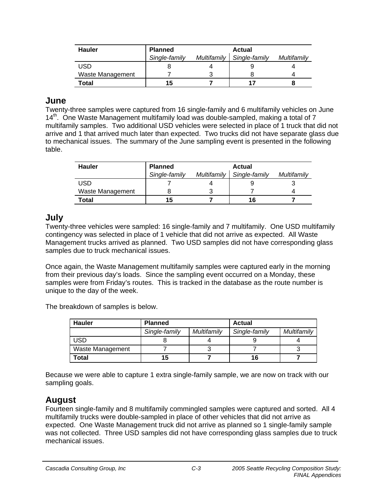| <b>Hauler</b>    | <b>Planned</b> |             | Actual        |             |  |
|------------------|----------------|-------------|---------------|-------------|--|
|                  | Single-family  | Multifamily | Single-family | Multifamily |  |
| USD              |                |             |               |             |  |
| Waste Management |                |             |               |             |  |
| Total            | 15             |             |               |             |  |

## **June**

Twenty-three samples were captured from 16 single-family and 6 multifamily vehicles on June  $14<sup>th</sup>$ . One Waste Management multifamily load was double-sampled, making a total of 7 multifamily samples. Two additional USD vehicles were selected in place of 1 truck that did not arrive and 1 that arrived much later than expected. Two trucks did not have separate glass due to mechanical issues. The summary of the June sampling event is presented in the following table.

| <b>Hauler</b>    | Planned       |             | <b>Actual</b> |             |  |
|------------------|---------------|-------------|---------------|-------------|--|
|                  | Single-family | Multifamily | Single-family | Multifamily |  |
| <b>USD</b>       |               |             |               |             |  |
| Waste Management |               |             |               |             |  |
| Total            | 15            |             | 16            |             |  |

## **July**

Twenty-three vehicles were sampled: 16 single-family and 7 multifamily. One USD multifamily contingency was selected in place of 1 vehicle that did not arrive as expected. All Waste Management trucks arrived as planned. Two USD samples did not have corresponding glass samples due to truck mechanical issues.

Once again, the Waste Management multifamily samples were captured early in the morning from their previous day's loads. Since the sampling event occurred on a Monday, these samples were from Friday's routes. This is tracked in the database as the route number is unique to the day of the week.

The breakdown of samples is below.

| <b>Hauler</b>    | <b>Planned</b> |             | <b>Actual</b> |             |
|------------------|----------------|-------------|---------------|-------------|
|                  | Single-family  | Multifamily | Single-family | Multifamily |
| <b>USD</b>       |                |             |               |             |
| Waste Management |                |             |               |             |
| Total            | 15             |             | 16            |             |

Because we were able to capture 1 extra single-family sample, we are now on track with our sampling goals.

# **August**

Fourteen single-family and 8 multifamily commingled samples were captured and sorted. All 4 multifamily trucks were double-sampled in place of other vehicles that did not arrive as expected. One Waste Management truck did not arrive as planned so 1 single-family sample was not collected. Three USD samples did not have corresponding glass samples due to truck mechanical issues.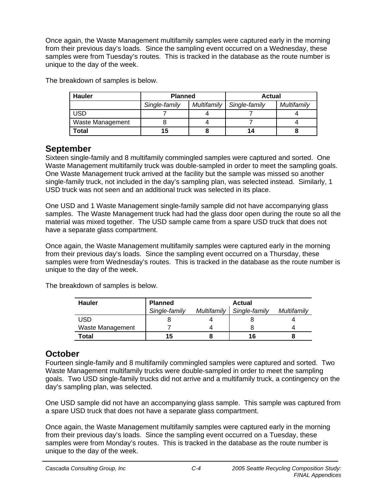Once again, the Waste Management multifamily samples were captured early in the morning from their previous day's loads. Since the sampling event occurred on a Wednesday, these samples were from Tuesday's routes. This is tracked in the database as the route number is unique to the day of the week.

| <b>Hauler</b>    | <b>Planned</b> |             | <b>Actual</b> |             |
|------------------|----------------|-------------|---------------|-------------|
|                  | Single-family  | Multifamily | Single-family | Multifamily |
| USD              |                |             |               |             |
| Waste Management |                |             |               |             |
| Total            | 15             |             | 14            |             |

The breakdown of samples is below.

## **September**

Sixteen single-family and 8 multifamily commingled samples were captured and sorted. One Waste Management multifamily truck was double-sampled in order to meet the sampling goals. One Waste Management truck arrived at the facility but the sample was missed so another single-family truck, not included in the day's sampling plan, was selected instead. Similarly, 1 USD truck was not seen and an additional truck was selected in its place.

One USD and 1 Waste Management single-family sample did not have accompanying glass samples. The Waste Management truck had had the glass door open during the route so all the material was mixed together. The USD sample came from a spare USD truck that does not have a separate glass compartment.

Once again, the Waste Management multifamily samples were captured early in the morning from their previous day's loads. Since the sampling event occurred on a Thursday, these samples were from Wednesday's routes. This is tracked in the database as the route number is unique to the day of the week.

The breakdown of samples is below.

| <b>Hauler</b>    | Planned       |             | Actual        |             |
|------------------|---------------|-------------|---------------|-------------|
|                  | Single-family | Multifamily | Single-family | Multifamily |
| USD              |               |             |               |             |
| Waste Management |               |             |               |             |
| <b>Total</b>     | 15            |             | 16            |             |

# **October**

Fourteen single-family and 8 multifamily commingled samples were captured and sorted. Two Waste Management multifamily trucks were double-sampled in order to meet the sampling goals. Two USD single-family trucks did not arrive and a multifamily truck, a contingency on the day's sampling plan, was selected.

One USD sample did not have an accompanying glass sample. This sample was captured from a spare USD truck that does not have a separate glass compartment.

Once again, the Waste Management multifamily samples were captured early in the morning from their previous day's loads. Since the sampling event occurred on a Tuesday, these samples were from Monday's routes. This is tracked in the database as the route number is unique to the day of the week.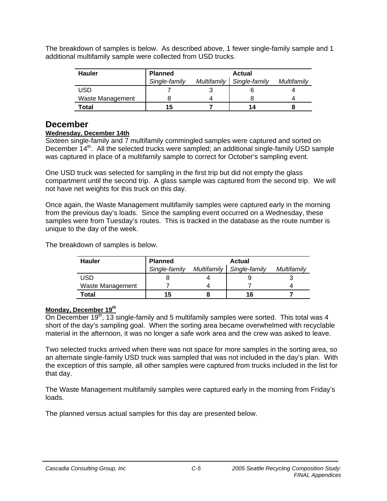The breakdown of samples is below. As described above, 1 fewer single-family sample and 1 additional multifamily sample were collected from USD trucks.

| <b>Hauler</b>    | <b>Planned</b> |             | Actual        |             |
|------------------|----------------|-------------|---------------|-------------|
|                  | Single-family  | Multifamily | Single-family | Multifamily |
| <b>USD</b>       |                |             |               |             |
| Waste Management |                |             |               |             |
| Total            | 15             |             | 14            |             |

## **December**

#### **Wednesday, December 14th**

Sixteen single-family and 7 multifamily commingled samples were captured and sorted on December 14<sup>th</sup>. All the selected trucks were sampled; an additional single-family USD sample was captured in place of a multifamily sample to correct for October's sampling event.

One USD truck was selected for sampling in the first trip but did not empty the glass compartment until the second trip. A glass sample was captured from the second trip. We will not have net weights for this truck on this day.

Once again, the Waste Management multifamily samples were captured early in the morning from the previous day's loads. Since the sampling event occurred on a Wednesday, these samples were from Tuesday's routes. This is tracked in the database as the route number is unique to the day of the week.

The breakdown of samples is below.

| <b>Hauler</b>    | Planned       |             | <b>Actual</b> |             |
|------------------|---------------|-------------|---------------|-------------|
|                  | Single-family | Multifamily | Single-family | Multifamily |
| <b>USD</b>       |               |             |               |             |
| Waste Management |               |             |               |             |
| Total            | 15            |             | 16            |             |

#### **Monday, December 19th**

On December 19<sup>th</sup>, 13 single-family and 5 multifamily samples were sorted. This total was 4 short of the day's sampling goal. When the sorting area became overwhelmed with recyclable material in the afternoon, it was no longer a safe work area and the crew was asked to leave.

Two selected trucks arrived when there was not space for more samples in the sorting area, so an alternate single-family USD truck was sampled that was not included in the day's plan. With the exception of this sample, all other samples were captured from trucks included in the list for that day.

The Waste Management multifamily samples were captured early in the morning from Friday's loads.

The planned versus actual samples for this day are presented below.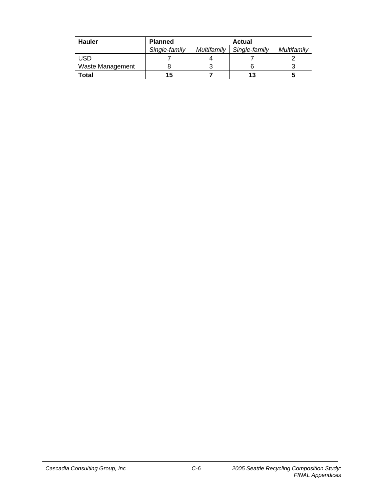| <b>Hauler</b>    | Planned       |             | Actual        |             |
|------------------|---------------|-------------|---------------|-------------|
|                  | Single-family | Multifamily | Single-family | Multifamily |
| USD              |               |             |               |             |
| Waste Management |               |             |               |             |
| <b>Total</b>     | 15            |             | 13            |             |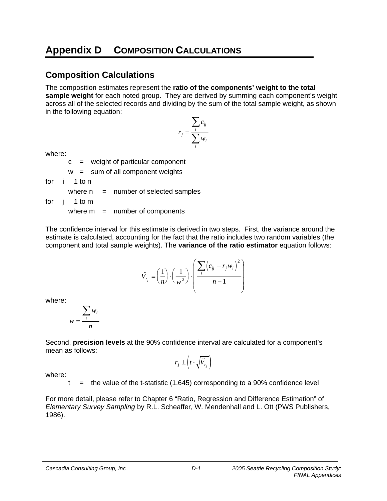# **Appendix D COMPOSITION CALCULATIONS**

# **Composition Calculations**

The composition estimates represent the **ratio of the components' weight to the total sample weight** for each noted group. They are derived by summing each component's weight across all of the selected records and dividing by the sum of the total sample weight, as shown in the following equation:

$$
r_j = \frac{\sum_i c_{ij}}{\sum_i w_i}
$$

where:

 $c =$  weight of particular component

 $w = sum of all component weights$ 

for i 1 to n

where  $n =$  number of selected samples

for j 1 to m

where  $m =$  number of components

The confidence interval for this estimate is derived in two steps. First, the variance around the estimate is calculated, accounting for the fact that the ratio includes two random variables (the component and total sample weights). The **variance of the ratio estimator** equation follows:

$$
\hat{V}_{r_j} = \left(\frac{1}{n}\right) \cdot \left(\frac{1}{\overline{w}^2}\right) \cdot \left(\frac{\sum_i \left(c_{ij} - r_j w_i\right)^2}{n - 1}\right)
$$

where:

$$
\overline{w} = \frac{\sum_i w_i}{n}
$$

Second, **precision levels** at the 90% confidence interval are calculated for a component's mean as follows:

$$
r_j \pm \left(t \cdot \sqrt{\hat{V}_{r_j}}\right)
$$

where:

 $t =$  the value of the t-statistic (1.645) corresponding to a 90% confidence level

For more detail, please refer to Chapter 6 "Ratio, Regression and Difference Estimation" of *Elementary Survey Sampling* by R.L. Scheaffer, W. Mendenhall and L. Ott (PWS Publishers, 1986).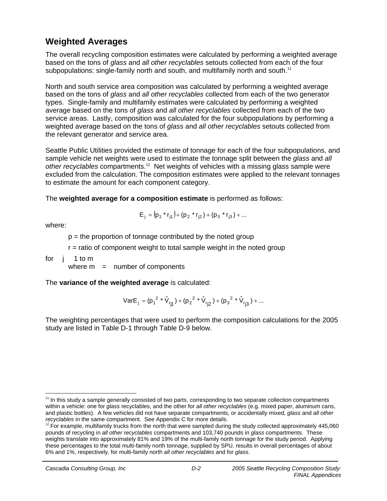# **Weighted Averages**

The overall recycling composition estimates were calculated by performing a weighted average based on the tons of *glass* and *all other recyclables* setouts collected from each of the four subpopulations: single-family north and south, and multifamily north and south.<sup>11</sup>

North and south service area composition was calculated by performing a weighted average based on the tons of *glass* and *all other recyclables* collected from each of the two generator types. Single-family and multifamily estimates were calculated by performing a weighted average based on the tons of *glass* and *all other recyclables* collected from each of the two service areas. Lastly, composition was calculated for the four subpopulations by performing a weighted average based on the tons of *glass* and *all other recyclables* setouts collected from the relevant generator and service area.

Seattle Public Utilities provided the estimate of tonnage for each of the four subpopulations, and sample vehicle net weights were used to estimate the tonnage split between the *glass* and *all other recyclables* compartments.12 Net weights of vehicles with a missing glass sample were excluded from the calculation. The composition estimates were applied to the relevant tonnages to estimate the amount for each component category.

The **weighted average for a composition estimate** is performed as follows:

$$
E_j = (p_1 * r_{j1}) + (p_2 * r_{j2}) + (p_3 * r_{j3}) + ...
$$

where:

-

 $p =$  the proportion of tonnage contributed by the noted group

 $r =$  ratio of component weight to total sample weight in the noted group

for j 1 to m

where  $m =$  number of components

The **variance of the weighted average** is calculated:

VarE<sub>j</sub> = 
$$
(p_1^2 * \hat{V}_{rj1}) + (p_2^2 * \hat{V}_{rj2}) + (p_3^2 * \hat{V}_{rj3}) + ...
$$

The weighting percentages that were used to perform the composition calculations for the 2005 study are listed in Table D-1 through Table D-9 below.

<sup>&</sup>lt;sup>11</sup> In this study a sample generally consisted of two parts, corresponding to two separate collection compartments within a vehicle: one for *glass* recyclables, and the other for *all other recyclables* (e.g. mixed paper, aluminum cans, and plastic bottles). A few vehicles did not have separate compartments, or accidentally mixed, *glass* and *all other recyclables* in the same compartment. See Appendix C for more details.<br><sup>12</sup> For example, multifamily trucks from the north that were sampled during the study collected approximately 445,060

pounds of recycling in *all other recyclables* compartments and 103,740 pounds in *glass* compartments. These weights translate into approximately 81% and 19% of the multi-family north tonnage for the study period. Applying these percentages to the total multi-family north tonnage, supplied by SPU, results in overall percentages of about 6% and 1%, respectively, for multi-family north *all other recyclables* and for *glass*.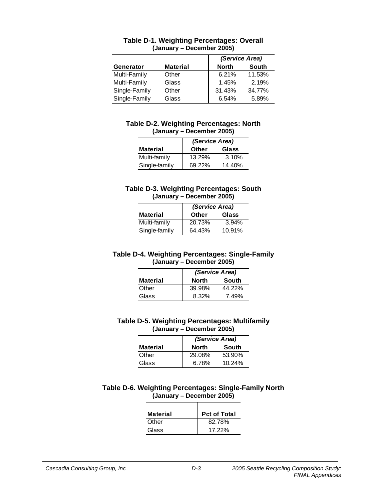|               |                 | (Service Area)               |
|---------------|-----------------|------------------------------|
| Generator     | <b>Material</b> | <b>South</b><br><b>North</b> |
| Multi-Family  | Other           | 6.21%<br>11.53%              |
| Multi-Family  | Glass           | 2.19%<br>1.45%               |
| Single-Family | Other           | 31.43%<br>34.77%             |
| Single-Family | Glass           | 6.54%<br>5.89%               |

#### **Table D-1. Weighting Percentages: Overall (January – December 2005)**

#### **Table D-2. Weighting Percentages: North (January – December 2005)**

|                 | (Service Area) |        |
|-----------------|----------------|--------|
| <b>Material</b> | <b>Other</b>   | Glass  |
| Multi-family    | 13.29%         | 3.10%  |
| Single-family   | 69.22%         | 14.40% |

#### **Table D-3. Weighting Percentages: South (January – December 2005)**

|                 | (Service Area) |        |
|-----------------|----------------|--------|
| <b>Material</b> | <b>Other</b>   | Glass  |
| Multi-family    | 20.73%         | 3.94%  |
| Single-family   | 64.43%         | 10.91% |

#### **Table D-4. Weighting Percentages: Single-Family (January – December 2005)**

|                 | (Service Area) |        |
|-----------------|----------------|--------|
| <b>Material</b> | <b>North</b>   | South  |
| Other           | 39.98%         | 44.22% |
| Glass           | 8.32%          | 7.49%  |

#### **Table D-5. Weighting Percentages: Multifamily (January – December 2005)**

|                 | (Service Area) |        |
|-----------------|----------------|--------|
| <b>Material</b> | <b>North</b>   | South  |
| Other           | 29.08%         | 53.90% |
| Glass           | 6.78%          | 10.24% |

#### **Table D-6. Weighting Percentages: Single-Family North (January – December 2005)**

| <b>Material</b> | <b>Pct of Total</b> |
|-----------------|---------------------|
| Other           | 82.78%              |
| Glass           | 17.22%              |
|                 |                     |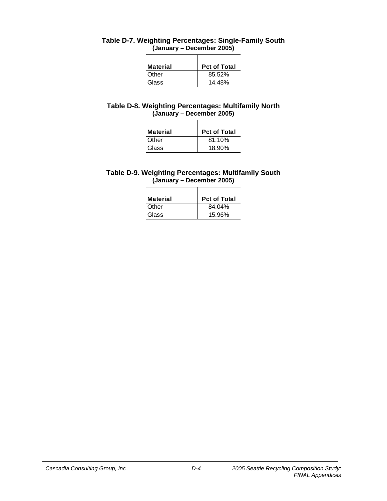| <b>Material</b> | <b>Pct of Total</b> |
|-----------------|---------------------|
| Other           | 85.52%              |
| Glass           | 14.48%              |

#### **Table D-7. Weighting Percentages: Single-Family South (January – December 2005)**

#### **Table D-8. Weighting Percentages: Multifamily North (January – December 2005)**

| Material | <b>Pct of Total</b> |
|----------|---------------------|
| Other    | 81.10%              |
| Glass    | 18.90%              |

#### **Table D-9. Weighting Percentages: Multifamily South (January – December 2005)**

| Material | <b>Pct of Total</b> |
|----------|---------------------|
| Other    | 84.04%              |
| Glass    | 15.96%              |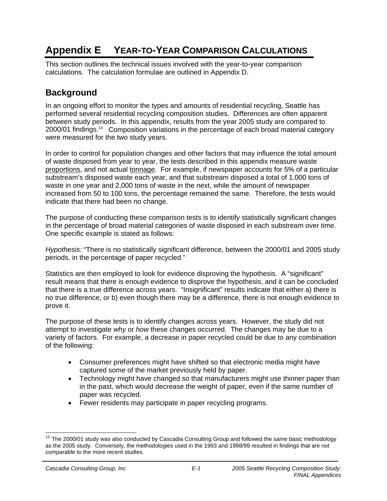# **Appendix E YEAR-TO-YEAR COMPARISON CALCULATIONS**

This section outlines the technical issues involved with the year-to-year comparison calculations. The calculation formulae are outlined in Appendix D.

# **Background**

In an ongoing effort to monitor the types and amounts of residential recycling, Seattle has performed several residential recycling composition studies. Differences are often apparent between study periods. In this appendix, results from the year 2005 study are compared to 2000/01 findings.<sup>13</sup> Composition variations in the percentage of each broad material category were measured for the two study years.

In order to control for population changes and other factors that may influence the total amount of waste disposed from year to year, the tests described in this appendix measure waste proportions, and not actual tonnage. For example, if newspaper accounts for 5% of a particular substream's disposed waste each year, and that substream disposed a total of 1,000 tons of waste in one year and 2,000 tons of waste in the next, while the amount of newspaper increased from 50 to 100 tons, the percentage remained the same. Therefore, the tests would indicate that there had been no change.

The purpose of conducting these comparison tests is to identify statistically significant changes in the percentage of broad material categories of waste disposed in each substream over time. One specific example is stated as follows:

*Hypothesis:* "There is no statistically significant difference, between the 2000/01 and 2005 study periods, in the percentage of paper recycled."

Statistics are then employed to look for evidence disproving the hypothesis. A "significant" result means that there is enough evidence to disprove the hypothesis, and it can be concluded that there is a true difference across years. "Insignificant" results indicate that either a) there is no true difference, or b) even though there may be a difference, there is not enough evidence to prove it.

The purpose of these tests is to identify changes across years. However, the study did not attempt to investigate *why* or *how* these changes occurred. The changes may be due to a variety of factors. For example, a decrease in paper recycled could be due to any combination of the following:

- Consumer preferences might have shifted so that electronic media might have captured some of the market previously held by paper.
- Technology might have changed so that manufacturers might use thinner paper than in the past, which would decrease the weight of paper, even if the same number of paper was recycled.
- Fewer residents may participate in paper recycling programs.

 $\overline{a}$  $13$  The 2000/01 study was also conducted by Cascadia Consulting Group and followed the same basic methodology as the 2005 study. Conversely, the methodologies used in the 1993 and 1998/99 resulted in findings that are not comparable to the more recent studies.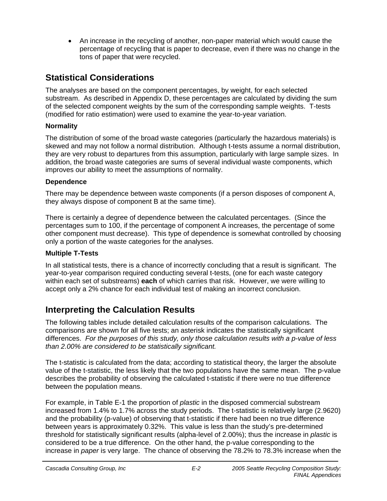• An increase in the recycling of another, non-paper material which would cause the percentage of recycling that is paper to decrease, even if there was no change in the tons of paper that were recycled.

# **Statistical Considerations**

The analyses are based on the component percentages, by weight, for each selected substream. As described in Appendix D, these percentages are calculated by dividing the sum of the selected component weights by the sum of the corresponding sample weights. T-tests (modified for ratio estimation) were used to examine the year-to-year variation.

### **Normality**

The distribution of some of the broad waste categories (particularly the hazardous materials) is skewed and may not follow a normal distribution. Although t-tests assume a normal distribution, they are very robust to departures from this assumption, particularly with large sample sizes. In addition, the broad waste categories are sums of several individual waste components, which improves our ability to meet the assumptions of normality.

## **Dependence**

There may be dependence between waste components (if a person disposes of component A, they always dispose of component B at the same time).

There is certainly a degree of dependence between the calculated percentages. (Since the percentages sum to 100, if the percentage of component A increases, the percentage of some other component must decrease). This type of dependence is somewhat controlled by choosing only a portion of the waste categories for the analyses.

## **Multiple T-Tests**

In all statistical tests, there is a chance of incorrectly concluding that a result is significant. The year-to-year comparison required conducting several t-tests, (one for each waste category within each set of substreams) **each** of which carries that risk. However, we were willing to accept only a 2% chance for each individual test of making an incorrect conclusion.

# **Interpreting the Calculation Results**

The following tables include detailed calculation results of the comparison calculations. The comparisons are shown for all five tests; an asterisk indicates the statistically significant differences. *For the purposes of this study, only those calculation results with a p-value of less than 2.00% are considered to be statistically significant.* 

The t-statistic is calculated from the data; according to statistical theory, the larger the absolute value of the t-statistic, the less likely that the two populations have the same mean. The p-value describes the probability of observing the calculated t-statistic if there were no true difference between the population means.

For example, in Table E-1 the proportion of *plastic* in the disposed commercial substream increased from 1.4% to 1.7% across the study periods. The t-statistic is relatively large (2.9620) and the probability (p-value) of observing that t-statistic if there had been no true difference between years is approximately 0.32%. This value is less than the study's pre-determined threshold for statistically significant results (alpha-level of 2.00%); thus the increase in *plastic* is considered to be a true difference. On the other hand, the p-value corresponding to the increase in *paper* is very large. The chance of observing the 78.2% to 78.3% increase when the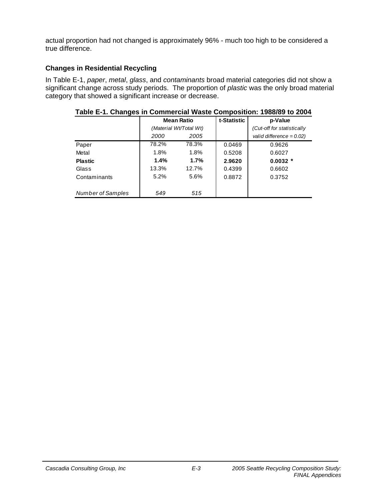actual proportion had not changed is approximately 96% - much too high to be considered a true difference.

### **Changes in Residential Recycling**

In Table E-1, *paper*, *metal*, *glass*, and *contaminants* broad material categories did not show a significant change across study periods. The proportion of *plastic* was the only broad material category that showed a significant increase or decrease.

|                   |       | <b>Mean Ratio</b>      | t-Statistic | p-Value                     |
|-------------------|-------|------------------------|-------------|-----------------------------|
|                   |       | (Material Wt/Total Wt) |             | (Cut-off for statistically  |
|                   | 2000  | 2005                   |             | valid difference = $0.02$ ) |
| Paper             | 78.2% | 78.3%                  | 0.0469      | 0.9626                      |
| Metal             | 1.8%  | 1.8%                   | 0.5208      | 0.6027                      |
| <b>Plastic</b>    | 1.4%  | $1.7\%$                | 2.9620      | $0.0032$ *                  |
| Glass             | 13.3% | 12.7%                  | 0.4399      | 0.6602                      |
| Contaminants      | 5.2%  | 5.6%                   | 0.8872      | 0.3752                      |
| Number of Samples | 549   | 515                    |             |                             |

**Table E-1. Changes in Commercial Waste Composition: 1988/89 to 2004**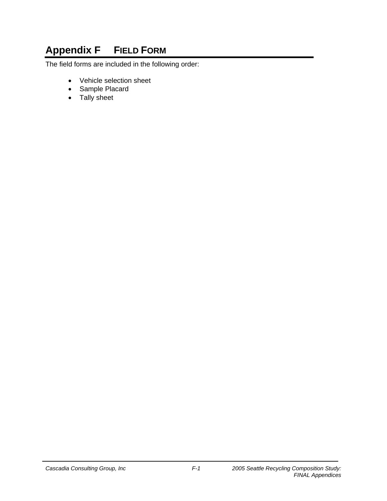# **Appendix F FIELD FORM**

The field forms are included in the following order:

- Vehicle selection sheet
- Sample Placard
- Tally sheet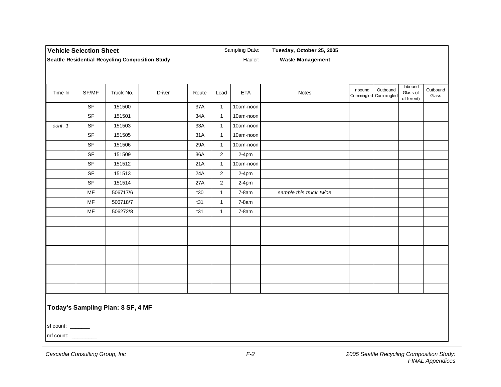| <b>Vehicle Selection Sheet</b>                         |           | Sampling Date:                    |        |       | Tuesday, October 25, 2005 |            |                         |         |                                   |                                    |                   |
|--------------------------------------------------------|-----------|-----------------------------------|--------|-------|---------------------------|------------|-------------------------|---------|-----------------------------------|------------------------------------|-------------------|
| <b>Seattle Residential Recycling Composition Study</b> |           | Hauler:                           |        |       | <b>Waste Management</b>   |            |                         |         |                                   |                                    |                   |
|                                                        |           |                                   |        |       |                           |            |                         |         |                                   |                                    |                   |
|                                                        |           |                                   |        |       |                           |            |                         |         |                                   |                                    |                   |
| Time In                                                | SF/MF     | Truck No.                         | Driver | Route | Load                      | <b>ETA</b> | Notes                   | Inbound | Outbound<br>Commingled Commingled | Inbound<br>Glass (if<br>different) | Outbound<br>Glass |
|                                                        | SF        | 151500                            |        | 37A   | $\overline{1}$            | 10am-noon  |                         |         |                                   |                                    |                   |
|                                                        | SF        | 151501                            |        | 34A   | $\overline{1}$            | 10am-noon  |                         |         |                                   |                                    |                   |
| cont. 1                                                | SF        | 151503                            |        | 33A   | $\mathbf{1}$              | 10am-noon  |                         |         |                                   |                                    |                   |
|                                                        | SF        | 151505                            |        | 31A   | $\overline{1}$            | 10am-noon  |                         |         |                                   |                                    |                   |
|                                                        | SF        | 151506                            |        | 29A   | $\overline{1}$            | 10am-noon  |                         |         |                                   |                                    |                   |
|                                                        | SF        | 151509                            |        | 36A   | $\overline{2}$            | $2-4pm$    |                         |         |                                   |                                    |                   |
|                                                        | SF        | 151512                            |        | 21A   | $\overline{1}$            | 10am-noon  |                         |         |                                   |                                    |                   |
|                                                        | <b>SF</b> | 151513                            |        | 24A   | $\overline{2}$            | $2-4pm$    |                         |         |                                   |                                    |                   |
|                                                        | SF        | 151514                            |        | 27A   | $\overline{2}$            | $2-4pm$    |                         |         |                                   |                                    |                   |
|                                                        | MF        | 506717/6                          |        | t30   | $\mathbf{1}$              | $7-8am$    | sample this truck twice |         |                                   |                                    |                   |
|                                                        | MF        | 506718/7                          |        | t31   | $\mathbf{1}$              | $7-8am$    |                         |         |                                   |                                    |                   |
|                                                        | MF        | 506272/8                          |        | t31   | $\mathbf{1}$              | $7-8am$    |                         |         |                                   |                                    |                   |
|                                                        |           |                                   |        |       |                           |            |                         |         |                                   |                                    |                   |
|                                                        |           |                                   |        |       |                           |            |                         |         |                                   |                                    |                   |
|                                                        |           |                                   |        |       |                           |            |                         |         |                                   |                                    |                   |
|                                                        |           |                                   |        |       |                           |            |                         |         |                                   |                                    |                   |
|                                                        |           |                                   |        |       |                           |            |                         |         |                                   |                                    |                   |
|                                                        |           |                                   |        |       |                           |            |                         |         |                                   |                                    |                   |
|                                                        |           |                                   |        |       |                           |            |                         |         |                                   |                                    |                   |
|                                                        |           |                                   |        |       |                           |            |                         |         |                                   |                                    |                   |
|                                                        |           |                                   |        |       |                           |            |                         |         |                                   |                                    |                   |
|                                                        |           | Today's Sampling Plan: 8 SF, 4 MF |        |       |                           |            |                         |         |                                   |                                    |                   |

sf count: \_\_\_\_\_\_

mf count: \_\_\_\_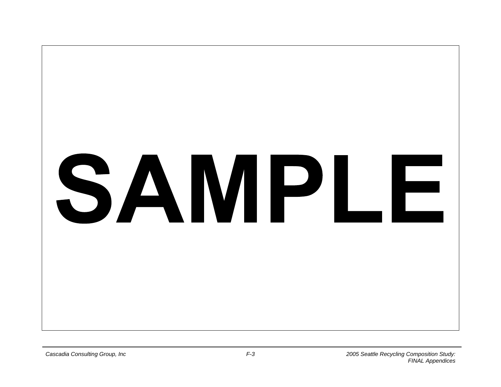